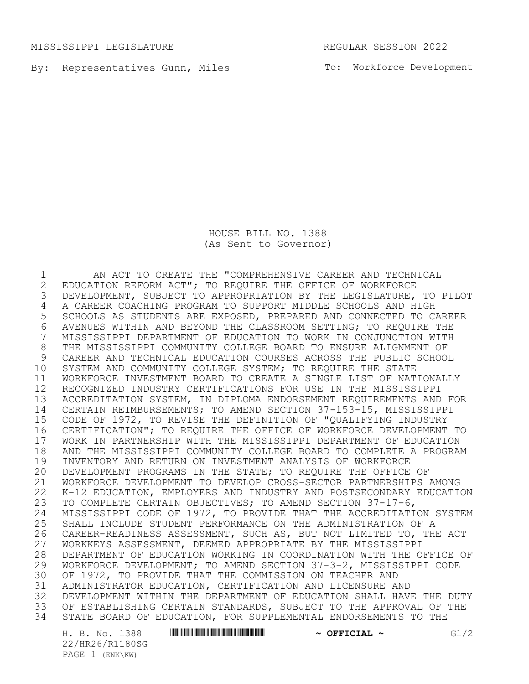MISSISSIPPI LEGISLATURE REGULAR SESSION 2022

By: Representatives Gunn, Miles The Morkforce Development

HOUSE BILL NO. 1388 (As Sent to Governor)

1 AN ACT TO CREATE THE "COMPREHENSIVE CAREER AND TECHNICAL<br>2 EDUCATION REFORM ACT"; TO REQUIRE THE OFFICE OF WORKFORCE 2 EDUCATION REFORM ACT"; TO REQUIRE THE OFFICE OF WORKFORCE<br>3 DEVELOPMENT, SUBJECT TO APPROPRIATION BY THE LEGISLATURE, DEVELOPMENT, SUBJECT TO APPROPRIATION BY THE LEGISLATURE, TO PILOT 4 A CAREER COACHING PROGRAM TO SUPPORT MIDDLE SCHOOLS AND HIGH<br>5 SCHOOLS AS STUDENTS ARE EXPOSED, PREPARED AND CONNECTED TO C. SCHOOLS AS STUDENTS ARE EXPOSED, PREPARED AND CONNECTED TO CAREER 6 AVENUES WITHIN AND BEYOND THE CLASSROOM SETTING; TO REQUIRE THE 7 MISSISSIPPI DEPARTMENT OF EDUCATION TO WORK IN CONJUNCTION WITH MISSISSIPPI DEPARTMENT OF EDUCATION TO WORK IN CONJUNCTION WITH THE MISSISSIPPI COMMUNITY COLLEGE BOARD TO ENSURE ALIGNMENT OF CAREER AND TECHNICAL EDUCATION COURSES ACROSS THE PUBLIC SCHOOL SYSTEM AND COMMUNITY COLLEGE SYSTEM; TO REQUIRE THE STATE WORKFORCE INVESTMENT BOARD TO CREATE A SINGLE LIST OF NATIONALLY RECOGNIZED INDUSTRY CERTIFICATIONS FOR USE IN THE MISSISSIPPI ACCREDITATION SYSTEM, IN DIPLOMA ENDORSEMENT REQUIREMENTS AND FOR CERTAIN REIMBURSEMENTS; TO AMEND SECTION 37-153-15, MISSISSIPPI CODE OF 1972, TO REVISE THE DEFINITION OF "QUALIFYING INDUSTRY CERTIFICATION"; TO REQUIRE THE OFFICE OF WORKFORCE DEVELOPMENT TO WORK IN PARTNERSHIP WITH THE MISSISSIPPI DEPARTMENT OF EDUCATION 18 AND THE MISSISSIPPI COMMUNITY COLLEGE BOARD TO COMPLETE A PROGRAM<br>19 INVENTORY AND RETURN ON INVESTMENT ANALYSIS OF WORKFORCE INVENTORY AND RETURN ON INVESTMENT ANALYSIS OF WORKFORCE DEVELOPMENT PROGRAMS IN THE STATE; TO REQUIRE THE OFFICE OF WORKFORCE DEVELOPMENT TO DEVELOP CROSS-SECTOR PARTNERSHIPS AMONG K-12 EDUCATION, EMPLOYERS AND INDUSTRY AND POSTSECONDARY EDUCATION TO COMPLETE CERTAIN OBJECTIVES; TO AMEND SECTION 37-17-6, 24 MISSISSIPPI CODE OF 1972, TO PROVIDE THAT THE ACCREDITATION SYSTEM<br>25 SHALL INCLUDE STUDENT PERFORMANCE ON THE ADMINISTRATION OF A 25 SHALL INCLUDE STUDENT PERFORMANCE ON THE ADMINISTRATION OF A<br>26 CAREER-READINESS ASSESSMENT, SUCH AS, BUT NOT LIMITED TO, THE CAREER-READINESS ASSESSMENT, SUCH AS, BUT NOT LIMITED TO, THE ACT WORKKEYS ASSESSMENT, DEEMED APPROPRIATE BY THE MISSISSIPPI 28 DEPARTMENT OF EDUCATION WORKING IN COORDINATION WITH THE OFFICE OF<br>29 WORKFORCE DEVELOPMENT; TO AMEND SECTION 37-3-2, MISSISSIPPI CODE WORKFORCE DEVELOPMENT; TO AMEND SECTION 37-3-2, MISSISSIPPI CODE OF 1972, TO PROVIDE THAT THE COMMISSION ON TEACHER AND ADMINISTRATOR EDUCATION, CERTIFICATION AND LICENSURE AND DEVELOPMENT WITHIN THE DEPARTMENT OF EDUCATION SHALL HAVE THE DUTY OF ESTABLISHING CERTAIN STANDARDS, SUBJECT TO THE APPROVAL OF THE STATE BOARD OF EDUCATION, FOR SUPPLEMENTAL ENDORSEMENTS TO THE

22/HR26/R1180SG PAGE 1 (ENK\KW)

H. B. No. 1388 **HRANG HRZAK — MARAGE AREA — CHANNES & OFFICIAL** — G1/2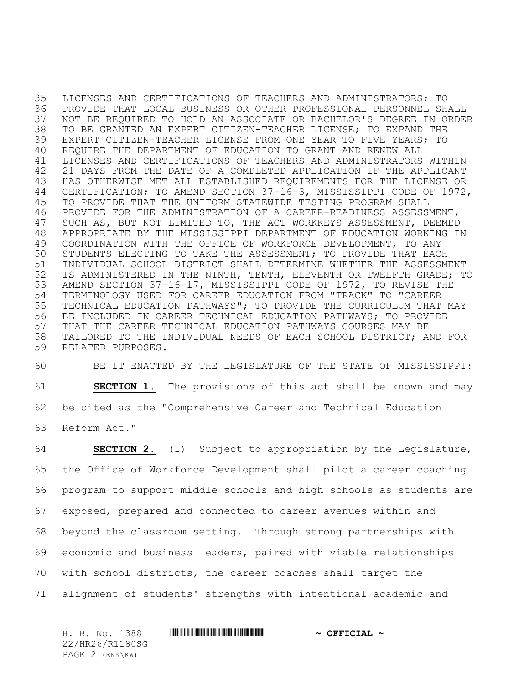LICENSES AND CERTIFICATIONS OF TEACHERS AND ADMINISTRATORS; TO PROVIDE THAT LOCAL BUSINESS OR OTHER PROFESSIONAL PERSONNEL SHALL NOT BE REQUIRED TO HOLD AN ASSOCIATE OR BACHELOR'S DEGREE IN ORDER TO BE GRANTED AN EXPERT CITIZEN-TEACHER LICENSE; TO EXPAND THE EXPERT CITIZEN-TEACHER LICENSE FROM ONE YEAR TO FIVE YEARS; TO REQUIRE THE DEPARTMENT OF EDUCATION TO GRANT AND RENEW ALL LICENSES AND CERTIFICATIONS OF TEACHERS AND ADMINISTRATORS WITHIN 21 DAYS FROM THE DATE OF A COMPLETED APPLICATION IF THE APPLICANT HAS OTHERWISE MET ALL ESTABLISHED REQUIREMENTS FOR THE LICENSE OR CERTIFICATION; TO AMEND SECTION 37-16-3, MISSISSIPPI CODE OF 1972, TO PROVIDE THAT THE UNIFORM STATEWIDE TESTING PROGRAM SHALL PROVIDE FOR THE ADMINISTRATION OF A CAREER-READINESS ASSESSMENT, SUCH AS, BUT NOT LIMITED TO, THE ACT WORKKEYS ASSESSMENT, DEEMED APPROPRIATE BY THE MISSISSIPPI DEPARTMENT OF EDUCATION WORKING IN COORDINATION WITH THE OFFICE OF WORKFORCE DEVELOPMENT, TO ANY STUDENTS ELECTING TO TAKE THE ASSESSMENT; TO PROVIDE THAT EACH INDIVIDUAL SCHOOL DISTRICT SHALL DETERMINE WHETHER THE ASSESSMENT IS ADMINISTERED IN THE NINTH, TENTH, ELEVENTH OR TWELFTH GRADE; TO AMEND SECTION 37-16-17, MISSISSIPPI CODE OF 1972, TO REVISE THE TERMINOLOGY USED FOR CAREER EDUCATION FROM "TRACK" TO "CAREER TECHNICAL EDUCATION PATHWAYS"; TO PROVIDE THE CURRICULUM THAT MAY BE INCLUDED IN CAREER TECHNICAL EDUCATION PATHWAYS; TO PROVIDE THAT THE CAREER TECHNICAL EDUCATION PATHWAYS COURSES MAY BE TAILORED TO THE INDIVIDUAL NEEDS OF EACH SCHOOL DISTRICT; AND FOR RELATED PURPOSES.

 BE IT ENACTED BY THE LEGISLATURE OF THE STATE OF MISSISSIPPI: **SECTION 1.** The provisions of this act shall be known and may be cited as the "Comprehensive Career and Technical Education Reform Act."

 **SECTION 2.** (1) Subject to appropriation by the Legislature, the Office of Workforce Development shall pilot a career coaching program to support middle schools and high schools as students are exposed, prepared and connected to career avenues within and beyond the classroom setting. Through strong partnerships with economic and business leaders, paired with viable relationships with school districts, the career coaches shall target the alignment of students' strengths with intentional academic and

H. B. No. 1388 **HRANG HAND AND ALL AND A OFFICIAL ~** 22/HR26/R1180SG PAGE 2 (ENK\KW)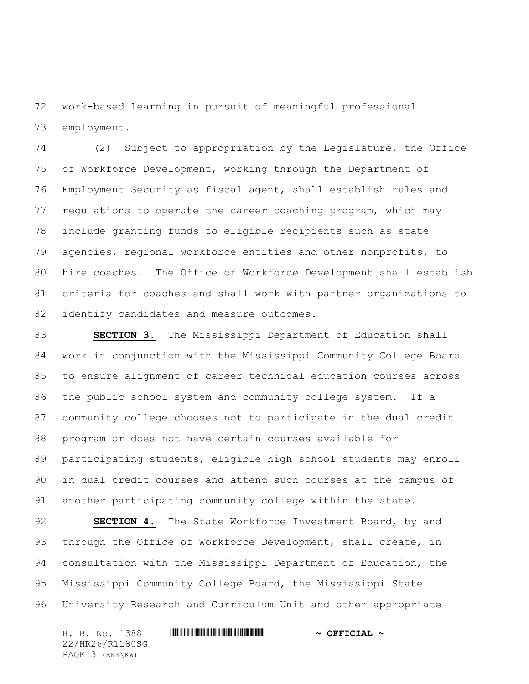work-based learning in pursuit of meaningful professional employment.

 (2) Subject to appropriation by the Legislature, the Office of Workforce Development, working through the Department of Employment Security as fiscal agent, shall establish rules and regulations to operate the career coaching program, which may include granting funds to eligible recipients such as state agencies, regional workforce entities and other nonprofits, to hire coaches. The Office of Workforce Development shall establish criteria for coaches and shall work with partner organizations to 82 identify candidates and measure outcomes.

 **SECTION 3.** The Mississippi Department of Education shall work in conjunction with the Mississippi Community College Board to ensure alignment of career technical education courses across the public school system and community college system. If a community college chooses not to participate in the dual credit program or does not have certain courses available for participating students, eligible high school students may enroll in dual credit courses and attend such courses at the campus of another participating community college within the state.

 **SECTION 4.** The State Workforce Investment Board, by and through the Office of Workforce Development, shall create, in consultation with the Mississippi Department of Education, the Mississippi Community College Board, the Mississippi State University Research and Curriculum Unit and other appropriate

H. B. No. 1388 \*HR26/R1180SG\* **~ OFFICIAL ~** 22/HR26/R1180SG PAGE 3 (ENK\KW)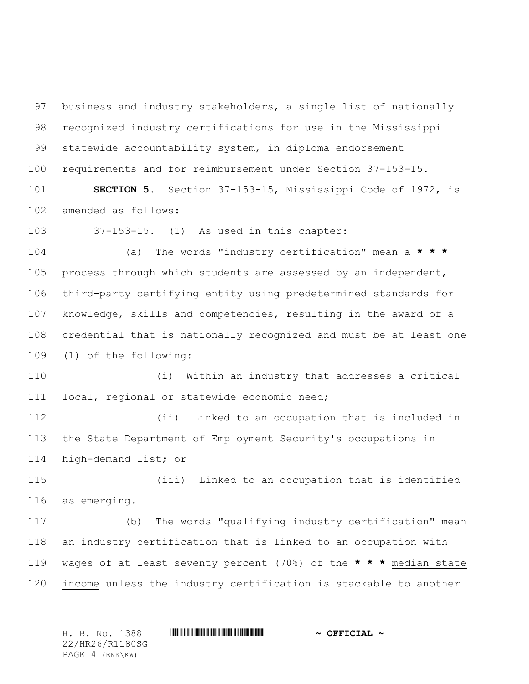business and industry stakeholders, a single list of nationally recognized industry certifications for use in the Mississippi statewide accountability system, in diploma endorsement requirements and for reimbursement under Section 37-153-15.

 **SECTION 5.** Section 37-153-15, Mississippi Code of 1972, is amended as follows:

37-153-15. (1) As used in this chapter:

 (a) The words "industry certification" mean a **\* \* \*** process through which students are assessed by an independent, third-party certifying entity using predetermined standards for knowledge, skills and competencies, resulting in the award of a credential that is nationally recognized and must be at least one (1) of the following:

 (i) Within an industry that addresses a critical local, regional or statewide economic need;

 (ii) Linked to an occupation that is included in the State Department of Employment Security's occupations in high-demand list; or

 (iii) Linked to an occupation that is identified as emerging.

 (b) The words "qualifying industry certification" mean an industry certification that is linked to an occupation with wages of at least seventy percent (70%) of the **\* \* \*** median state income unless the industry certification is stackable to another

H. B. No. 1388 \*HR26/R1180SG\* **~ OFFICIAL ~** 22/HR26/R1180SG PAGE 4 (ENK\KW)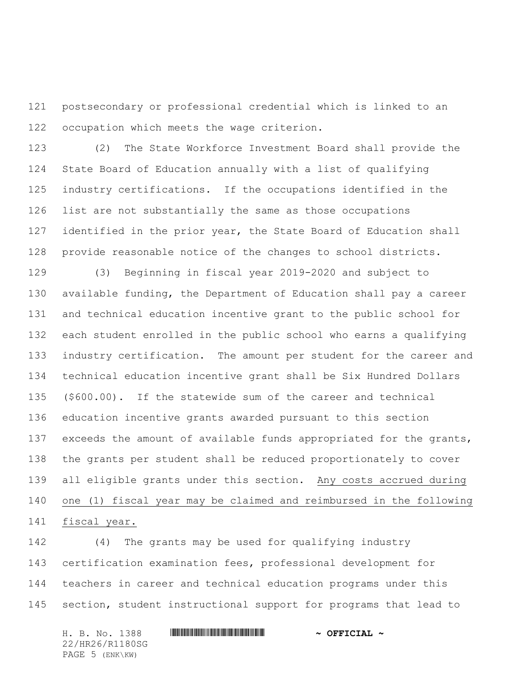postsecondary or professional credential which is linked to an occupation which meets the wage criterion.

 (2) The State Workforce Investment Board shall provide the State Board of Education annually with a list of qualifying industry certifications. If the occupations identified in the list are not substantially the same as those occupations identified in the prior year, the State Board of Education shall provide reasonable notice of the changes to school districts.

 (3) Beginning in fiscal year 2019-2020 and subject to available funding, the Department of Education shall pay a career and technical education incentive grant to the public school for each student enrolled in the public school who earns a qualifying industry certification. The amount per student for the career and technical education incentive grant shall be Six Hundred Dollars (\$600.00). If the statewide sum of the career and technical education incentive grants awarded pursuant to this section 137 exceeds the amount of available funds appropriated for the grants, the grants per student shall be reduced proportionately to cover all eligible grants under this section. Any costs accrued during one (1) fiscal year may be claimed and reimbursed in the following fiscal year.

 (4) The grants may be used for qualifying industry certification examination fees, professional development for teachers in career and technical education programs under this section, student instructional support for programs that lead to

H. B. No. 1388 \*HR26/R1180SG\* **~ OFFICIAL ~** 22/HR26/R1180SG PAGE 5 (ENK\KW)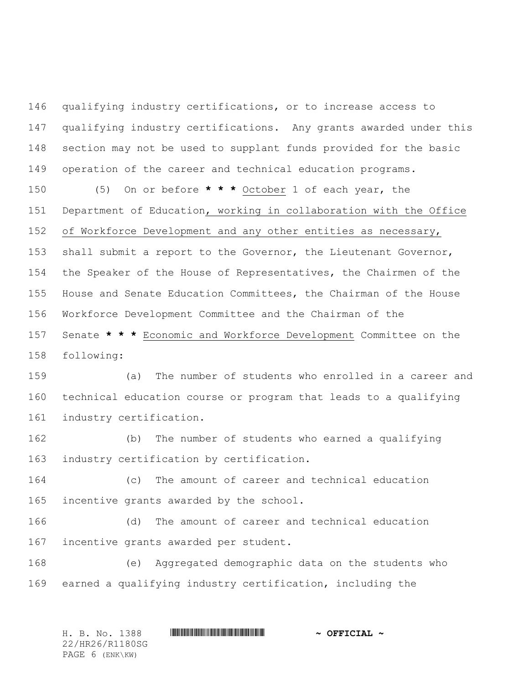qualifying industry certifications, or to increase access to qualifying industry certifications. Any grants awarded under this section may not be used to supplant funds provided for the basic operation of the career and technical education programs. (5) On or before **\* \* \*** October 1 of each year, the

 Department of Education, working in collaboration with the Office of Workforce Development and any other entities as necessary, shall submit a report to the Governor, the Lieutenant Governor,

 the Speaker of the House of Representatives, the Chairmen of the House and Senate Education Committees, the Chairman of the House Workforce Development Committee and the Chairman of the Senate **\* \* \*** Economic and Workforce Development Committee on the following:

 (a) The number of students who enrolled in a career and technical education course or program that leads to a qualifying industry certification.

 (b) The number of students who earned a qualifying industry certification by certification.

 (c) The amount of career and technical education 165 incentive grants awarded by the school.

 (d) The amount of career and technical education incentive grants awarded per student.

 (e) Aggregated demographic data on the students who earned a qualifying industry certification, including the

H. B. No. 1388 \*HR26/R1180SG\* **~ OFFICIAL ~** 22/HR26/R1180SG PAGE 6 (ENK\KW)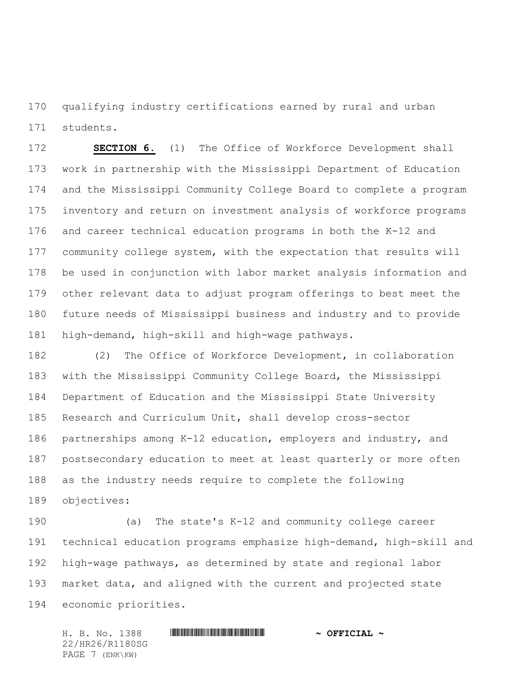qualifying industry certifications earned by rural and urban students.

 **SECTION 6.** (1) The Office of Workforce Development shall work in partnership with the Mississippi Department of Education and the Mississippi Community College Board to complete a program inventory and return on investment analysis of workforce programs and career technical education programs in both the K-12 and community college system, with the expectation that results will be used in conjunction with labor market analysis information and other relevant data to adjust program offerings to best meet the future needs of Mississippi business and industry and to provide high-demand, high-skill and high-wage pathways.

 (2) The Office of Workforce Development, in collaboration with the Mississippi Community College Board, the Mississippi Department of Education and the Mississippi State University Research and Curriculum Unit, shall develop cross-sector partnerships among K-12 education, employers and industry, and postsecondary education to meet at least quarterly or more often as the industry needs require to complete the following objectives:

 (a) The state's K-12 and community college career technical education programs emphasize high-demand, high-skill and high-wage pathways, as determined by state and regional labor market data, and aligned with the current and projected state economic priorities.

H. B. No. 1388 \*HR26/R1180SG\* **~ OFFICIAL ~** 22/HR26/R1180SG PAGE 7 (ENK\KW)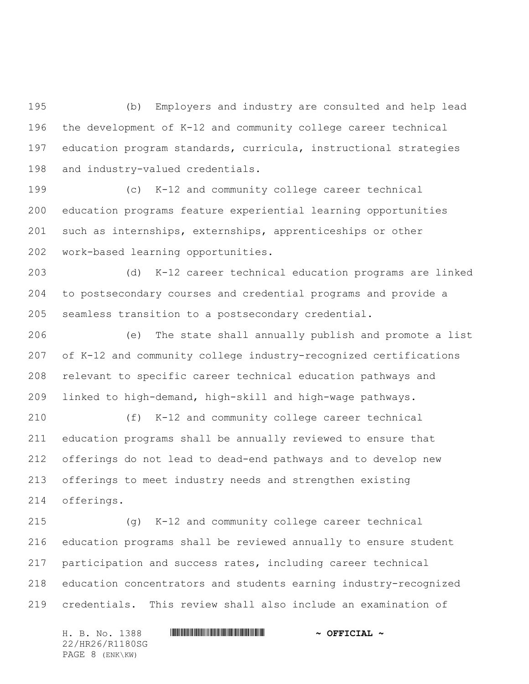(b) Employers and industry are consulted and help lead the development of K-12 and community college career technical education program standards, curricula, instructional strategies and industry-valued credentials.

 (c) K-12 and community college career technical education programs feature experiential learning opportunities such as internships, externships, apprenticeships or other work-based learning opportunities.

 (d) K-12 career technical education programs are linked to postsecondary courses and credential programs and provide a seamless transition to a postsecondary credential.

 (e) The state shall annually publish and promote a list of K-12 and community college industry-recognized certifications relevant to specific career technical education pathways and linked to high-demand, high-skill and high-wage pathways.

 (f) K-12 and community college career technical education programs shall be annually reviewed to ensure that offerings do not lead to dead-end pathways and to develop new offerings to meet industry needs and strengthen existing offerings.

 (g) K-12 and community college career technical education programs shall be reviewed annually to ensure student participation and success rates, including career technical education concentrators and students earning industry-recognized credentials. This review shall also include an examination of

H. B. No. 1388 \*HR26/R1180SG\* **~ OFFICIAL ~** 22/HR26/R1180SG PAGE 8 (ENK\KW)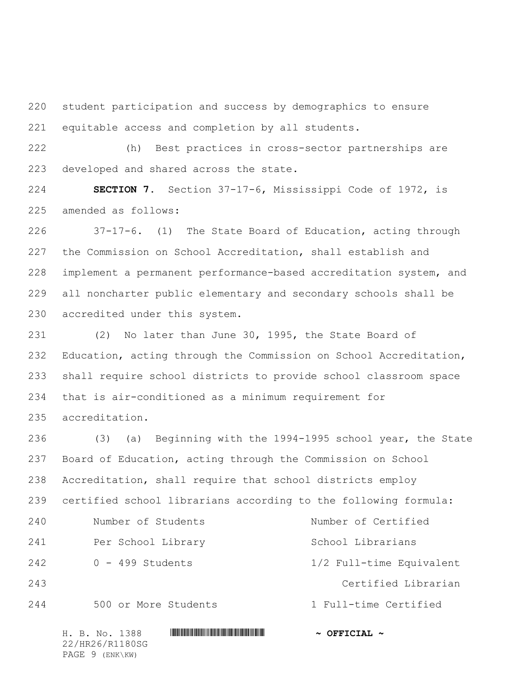student participation and success by demographics to ensure equitable access and completion by all students.

 (h) Best practices in cross-sector partnerships are developed and shared across the state.

 **SECTION 7.** Section 37-17-6, Mississippi Code of 1972, is amended as follows:

 37-17-6. (1) The State Board of Education, acting through the Commission on School Accreditation, shall establish and implement a permanent performance-based accreditation system, and all noncharter public elementary and secondary schools shall be accredited under this system.

 (2) No later than June 30, 1995, the State Board of Education, acting through the Commission on School Accreditation, shall require school districts to provide school classroom space that is air-conditioned as a minimum requirement for accreditation.

 (3) (a) Beginning with the 1994-1995 school year, the State Board of Education, acting through the Commission on School Accreditation, shall require that school districts employ certified school librarians according to the following formula: Number of Students Number of Certified 241 Per School Library School Librarians 0 - 499 Students 1/2 Full-time Equivalent Certified Librarian 500 or More Students 1 Full-time Certified

H. B. No. 1388 \*HR26/R1180SG\* **~ OFFICIAL ~** 22/HR26/R1180SG PAGE 9 (ENK\KW)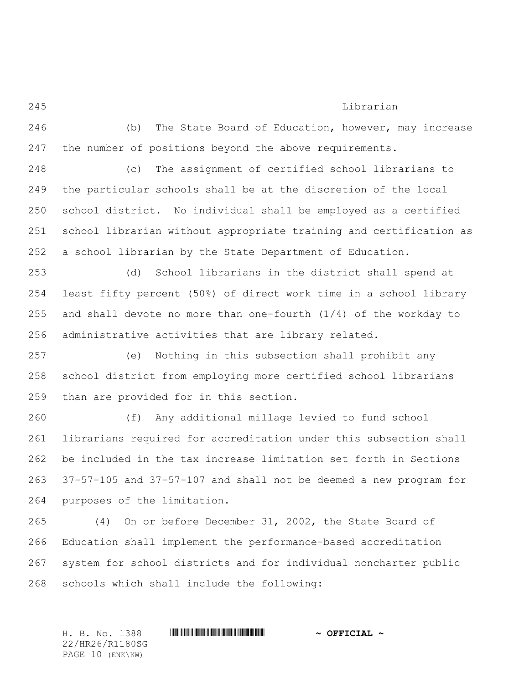# Librarian

 (b) The State Board of Education, however, may increase the number of positions beyond the above requirements.

 (c) The assignment of certified school librarians to the particular schools shall be at the discretion of the local school district. No individual shall be employed as a certified school librarian without appropriate training and certification as a school librarian by the State Department of Education.

 (d) School librarians in the district shall spend at least fifty percent (50%) of direct work time in a school library 255 and shall devote no more than one-fourth  $(1/4)$  of the workday to administrative activities that are library related.

 (e) Nothing in this subsection shall prohibit any school district from employing more certified school librarians than are provided for in this section.

 (f) Any additional millage levied to fund school librarians required for accreditation under this subsection shall be included in the tax increase limitation set forth in Sections 37-57-105 and 37-57-107 and shall not be deemed a new program for purposes of the limitation.

 (4) On or before December 31, 2002, the State Board of Education shall implement the performance-based accreditation system for school districts and for individual noncharter public schools which shall include the following:

H. B. No. 1388 \*HR26/R1180SG\* **~ OFFICIAL ~** 22/HR26/R1180SG PAGE 10 (ENK\KW)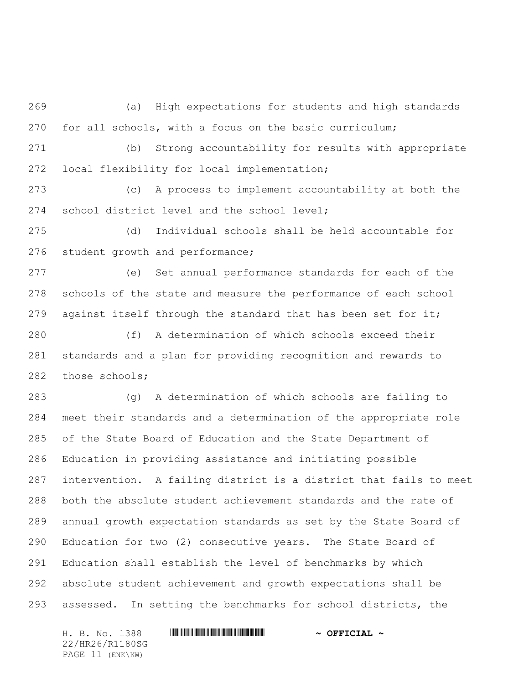(a) High expectations for students and high standards for all schools, with a focus on the basic curriculum;

 (b) Strong accountability for results with appropriate local flexibility for local implementation;

 (c) A process to implement accountability at both the school district level and the school level;

 (d) Individual schools shall be held accountable for 276 student growth and performance;

 (e) Set annual performance standards for each of the schools of the state and measure the performance of each school 279 against itself through the standard that has been set for it;

 (f) A determination of which schools exceed their standards and a plan for providing recognition and rewards to 282 those schools;

 (g) A determination of which schools are failing to meet their standards and a determination of the appropriate role of the State Board of Education and the State Department of Education in providing assistance and initiating possible intervention. A failing district is a district that fails to meet both the absolute student achievement standards and the rate of annual growth expectation standards as set by the State Board of Education for two (2) consecutive years. The State Board of Education shall establish the level of benchmarks by which absolute student achievement and growth expectations shall be assessed. In setting the benchmarks for school districts, the

H. B. No. 1388 \*HR26/R1180SG\* **~ OFFICIAL ~** 22/HR26/R1180SG PAGE 11 (ENK\KW)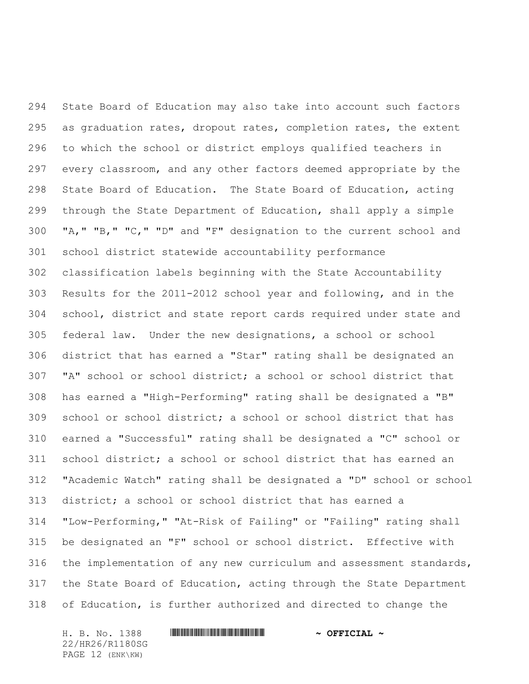State Board of Education may also take into account such factors as graduation rates, dropout rates, completion rates, the extent to which the school or district employs qualified teachers in every classroom, and any other factors deemed appropriate by the State Board of Education. The State Board of Education, acting through the State Department of Education, shall apply a simple "A," "B," "C," "D" and "F" designation to the current school and school district statewide accountability performance classification labels beginning with the State Accountability Results for the 2011-2012 school year and following, and in the school, district and state report cards required under state and federal law. Under the new designations, a school or school district that has earned a "Star" rating shall be designated an "A" school or school district; a school or school district that has earned a "High-Performing" rating shall be designated a "B" school or school district; a school or school district that has earned a "Successful" rating shall be designated a "C" school or school district; a school or school district that has earned an "Academic Watch" rating shall be designated a "D" school or school district; a school or school district that has earned a "Low-Performing," "At-Risk of Failing" or "Failing" rating shall be designated an "F" school or school district. Effective with the implementation of any new curriculum and assessment standards, the State Board of Education, acting through the State Department of Education, is further authorized and directed to change the

H. B. No. 1388 \*HR26/R1180SG\* **~ OFFICIAL ~** 22/HR26/R1180SG PAGE 12 (ENK\KW)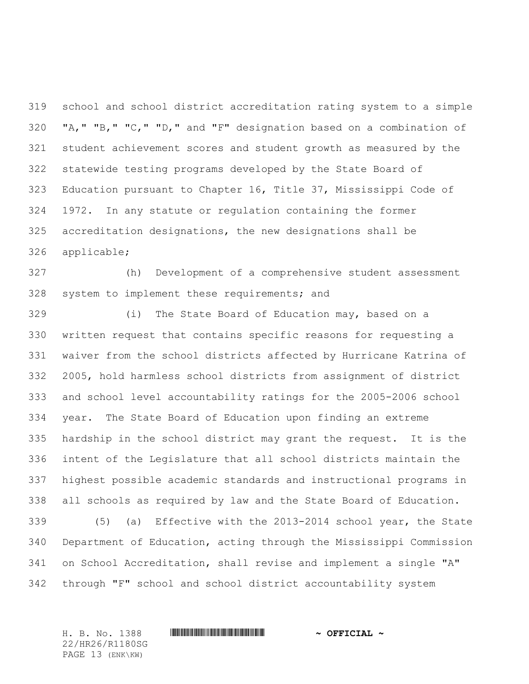school and school district accreditation rating system to a simple "A," "B," "C," "D," and "F" designation based on a combination of student achievement scores and student growth as measured by the statewide testing programs developed by the State Board of Education pursuant to Chapter 16, Title 37, Mississippi Code of 1972. In any statute or regulation containing the former accreditation designations, the new designations shall be applicable;

 (h) Development of a comprehensive student assessment system to implement these requirements; and

 (i) The State Board of Education may, based on a written request that contains specific reasons for requesting a waiver from the school districts affected by Hurricane Katrina of 2005, hold harmless school districts from assignment of district and school level accountability ratings for the 2005-2006 school year. The State Board of Education upon finding an extreme hardship in the school district may grant the request. It is the intent of the Legislature that all school districts maintain the highest possible academic standards and instructional programs in all schools as required by law and the State Board of Education.

 (5) (a) Effective with the 2013-2014 school year, the State Department of Education, acting through the Mississippi Commission on School Accreditation, shall revise and implement a single "A" through "F" school and school district accountability system

H. B. No. 1388 \*HR26/R1180SG\* **~ OFFICIAL ~** 22/HR26/R1180SG PAGE 13 (ENK\KW)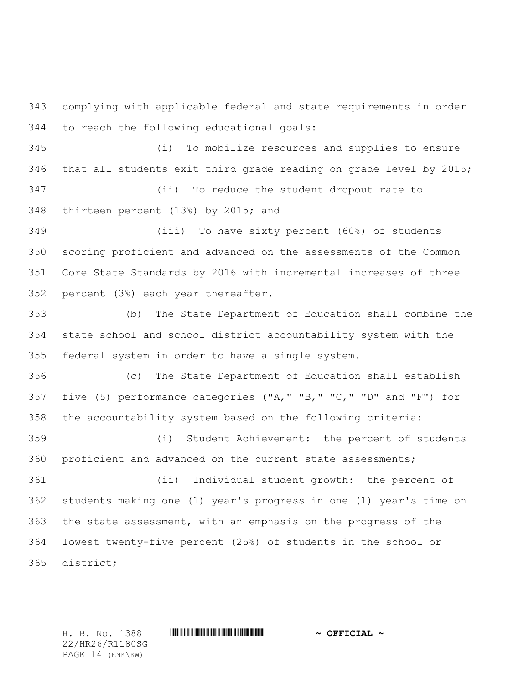complying with applicable federal and state requirements in order to reach the following educational goals:

 (i) To mobilize resources and supplies to ensure that all students exit third grade reading on grade level by 2015; (ii) To reduce the student dropout rate to

thirteen percent (13%) by 2015; and

 (iii) To have sixty percent (60%) of students scoring proficient and advanced on the assessments of the Common Core State Standards by 2016 with incremental increases of three percent (3%) each year thereafter.

 (b) The State Department of Education shall combine the state school and school district accountability system with the federal system in order to have a single system.

 (c) The State Department of Education shall establish five (5) performance categories ("A," "B," "C," "D" and "F") for the accountability system based on the following criteria:

 (i) Student Achievement: the percent of students proficient and advanced on the current state assessments;

 (ii) Individual student growth: the percent of students making one (1) year's progress in one (1) year's time on the state assessment, with an emphasis on the progress of the lowest twenty-five percent (25%) of students in the school or district;

22/HR26/R1180SG PAGE 14 (ENK\KW)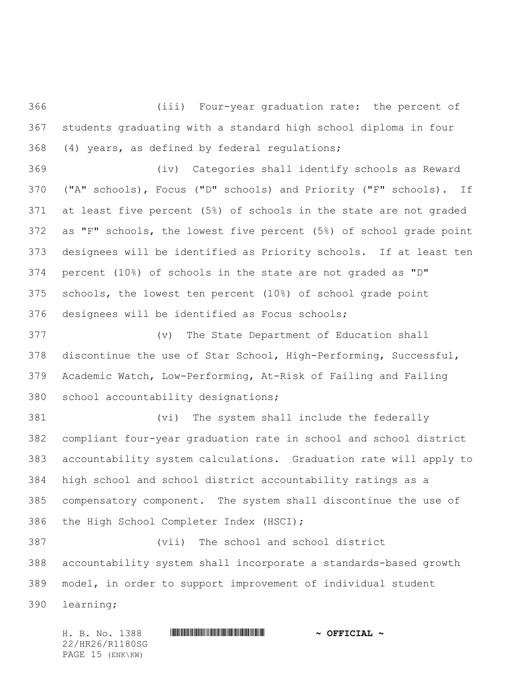(iii) Four-year graduation rate: the percent of students graduating with a standard high school diploma in four (4) years, as defined by federal regulations;

 (iv) Categories shall identify schools as Reward ("A" schools), Focus ("D" schools) and Priority ("F" schools). If at least five percent (5%) of schools in the state are not graded as "F" schools, the lowest five percent (5%) of school grade point designees will be identified as Priority schools. If at least ten percent (10%) of schools in the state are not graded as "D" schools, the lowest ten percent (10%) of school grade point designees will be identified as Focus schools;

 (v) The State Department of Education shall discontinue the use of Star School, High-Performing, Successful, Academic Watch, Low-Performing, At-Risk of Failing and Failing school accountability designations;

 (vi) The system shall include the federally compliant four-year graduation rate in school and school district accountability system calculations. Graduation rate will apply to high school and school district accountability ratings as a compensatory component. The system shall discontinue the use of the High School Completer Index (HSCI);

 (vii) The school and school district accountability system shall incorporate a standards-based growth model, in order to support improvement of individual student learning;

H. B. No. 1388 \*HR26/R1180SG\* **~ OFFICIAL ~** 22/HR26/R1180SG PAGE 15 (ENK\KW)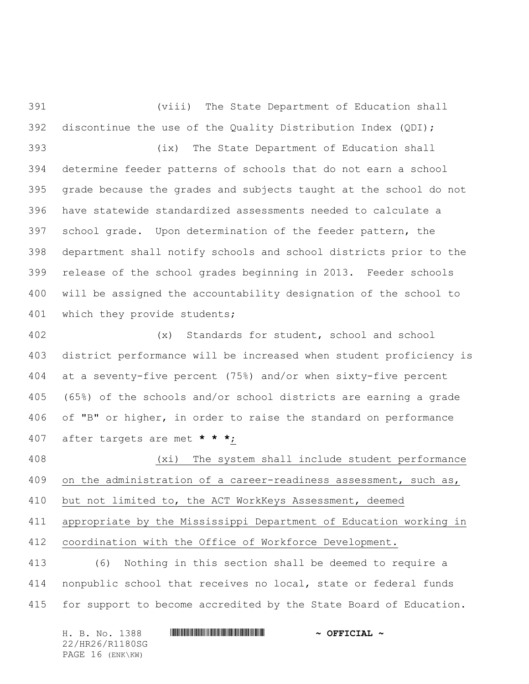(viii) The State Department of Education shall discontinue the use of the Quality Distribution Index (QDI); (ix) The State Department of Education shall determine feeder patterns of schools that do not earn a school

 grade because the grades and subjects taught at the school do not have statewide standardized assessments needed to calculate a school grade. Upon determination of the feeder pattern, the department shall notify schools and school districts prior to the release of the school grades beginning in 2013. Feeder schools will be assigned the accountability designation of the school to 401 which they provide students;

 (x) Standards for student, school and school district performance will be increased when student proficiency is at a seventy-five percent (75%) and/or when sixty-five percent (65%) of the schools and/or school districts are earning a grade of "B" or higher, in order to raise the standard on performance after targets are met **\* \* \***;

 (xi) The system shall include student performance 409 on the administration of a career-readiness assessment, such as, but not limited to, the ACT WorkKeys Assessment, deemed appropriate by the Mississippi Department of Education working in coordination with the Office of Workforce Development. (6) Nothing in this section shall be deemed to require a nonpublic school that receives no local, state or federal funds

for support to become accredited by the State Board of Education.

H. B. No. 1388 \*HR26/R1180SG\* **~ OFFICIAL ~** 22/HR26/R1180SG PAGE 16 (ENK\KW)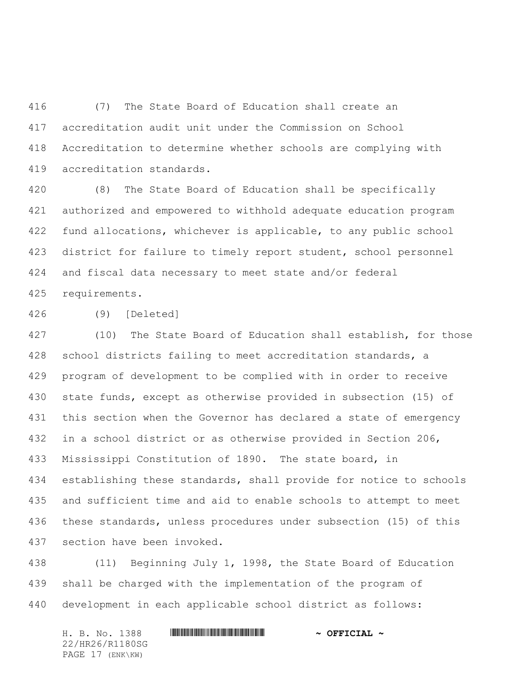(7) The State Board of Education shall create an accreditation audit unit under the Commission on School Accreditation to determine whether schools are complying with accreditation standards.

 (8) The State Board of Education shall be specifically authorized and empowered to withhold adequate education program fund allocations, whichever is applicable, to any public school district for failure to timely report student, school personnel and fiscal data necessary to meet state and/or federal requirements.

(9) [Deleted]

 (10) The State Board of Education shall establish, for those school districts failing to meet accreditation standards, a program of development to be complied with in order to receive state funds, except as otherwise provided in subsection (15) of this section when the Governor has declared a state of emergency in a school district or as otherwise provided in Section 206, Mississippi Constitution of 1890. The state board, in establishing these standards, shall provide for notice to schools and sufficient time and aid to enable schools to attempt to meet these standards, unless procedures under subsection (15) of this section have been invoked.

 (11) Beginning July 1, 1998, the State Board of Education shall be charged with the implementation of the program of development in each applicable school district as follows:

H. B. No. 1388 \*HR26/R1180SG\* **~ OFFICIAL ~** 22/HR26/R1180SG PAGE 17 (ENK\KW)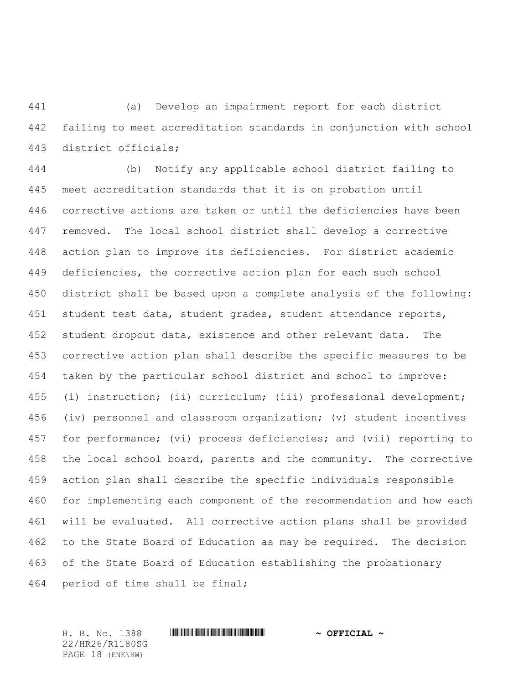(a) Develop an impairment report for each district failing to meet accreditation standards in conjunction with school district officials;

 (b) Notify any applicable school district failing to meet accreditation standards that it is on probation until corrective actions are taken or until the deficiencies have been removed. The local school district shall develop a corrective action plan to improve its deficiencies. For district academic deficiencies, the corrective action plan for each such school district shall be based upon a complete analysis of the following: student test data, student grades, student attendance reports, student dropout data, existence and other relevant data. The corrective action plan shall describe the specific measures to be taken by the particular school district and school to improve: (i) instruction; (ii) curriculum; (iii) professional development; (iv) personnel and classroom organization; (v) student incentives for performance; (vi) process deficiencies; and (vii) reporting to the local school board, parents and the community. The corrective action plan shall describe the specific individuals responsible for implementing each component of the recommendation and how each will be evaluated. All corrective action plans shall be provided to the State Board of Education as may be required. The decision of the State Board of Education establishing the probationary period of time shall be final;

22/HR26/R1180SG PAGE 18 (ENK\KW)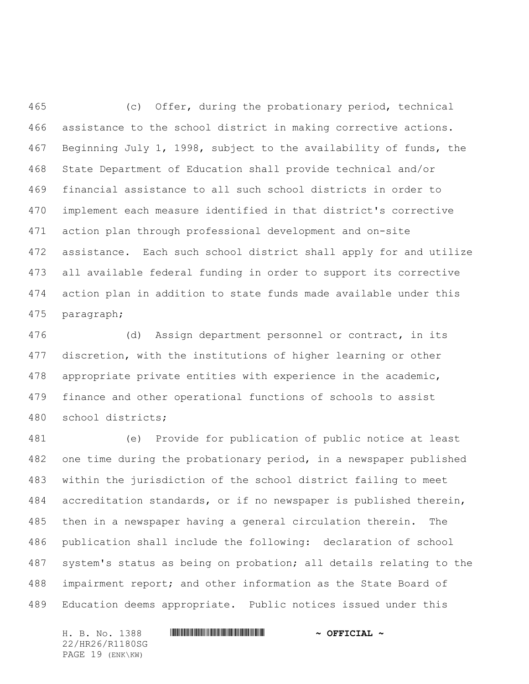(c) Offer, during the probationary period, technical assistance to the school district in making corrective actions. Beginning July 1, 1998, subject to the availability of funds, the State Department of Education shall provide technical and/or financial assistance to all such school districts in order to implement each measure identified in that district's corrective action plan through professional development and on-site assistance. Each such school district shall apply for and utilize all available federal funding in order to support its corrective action plan in addition to state funds made available under this paragraph;

 (d) Assign department personnel or contract, in its discretion, with the institutions of higher learning or other appropriate private entities with experience in the academic, finance and other operational functions of schools to assist school districts;

 (e) Provide for publication of public notice at least one time during the probationary period, in a newspaper published within the jurisdiction of the school district failing to meet accreditation standards, or if no newspaper is published therein, then in a newspaper having a general circulation therein. The publication shall include the following: declaration of school system's status as being on probation; all details relating to the impairment report; and other information as the State Board of Education deems appropriate. Public notices issued under this

H. B. No. 1388 \*HR26/R1180SG\* **~ OFFICIAL ~** 22/HR26/R1180SG PAGE 19 (ENK\KW)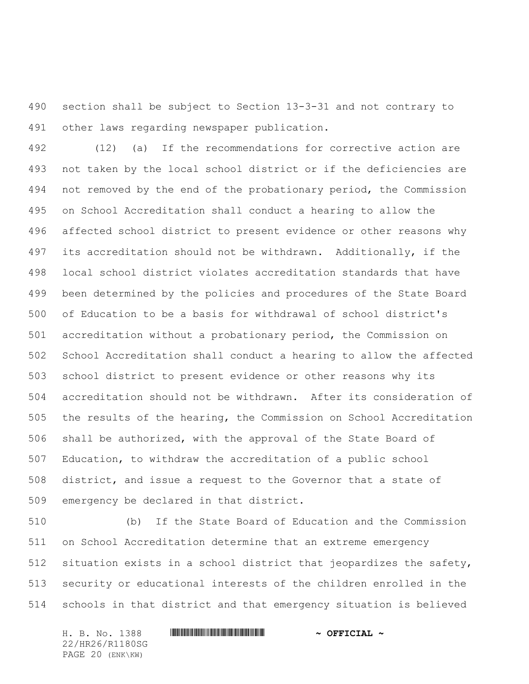section shall be subject to Section 13-3-31 and not contrary to other laws regarding newspaper publication.

 (12) (a) If the recommendations for corrective action are not taken by the local school district or if the deficiencies are not removed by the end of the probationary period, the Commission on School Accreditation shall conduct a hearing to allow the affected school district to present evidence or other reasons why its accreditation should not be withdrawn. Additionally, if the local school district violates accreditation standards that have been determined by the policies and procedures of the State Board of Education to be a basis for withdrawal of school district's accreditation without a probationary period, the Commission on School Accreditation shall conduct a hearing to allow the affected school district to present evidence or other reasons why its accreditation should not be withdrawn. After its consideration of the results of the hearing, the Commission on School Accreditation shall be authorized, with the approval of the State Board of Education, to withdraw the accreditation of a public school district, and issue a request to the Governor that a state of emergency be declared in that district.

 (b) If the State Board of Education and the Commission on School Accreditation determine that an extreme emergency situation exists in a school district that jeopardizes the safety, security or educational interests of the children enrolled in the schools in that district and that emergency situation is believed

H. B. No. 1388 \*HR26/R1180SG\* **~ OFFICIAL ~** 22/HR26/R1180SG PAGE 20 (ENK\KW)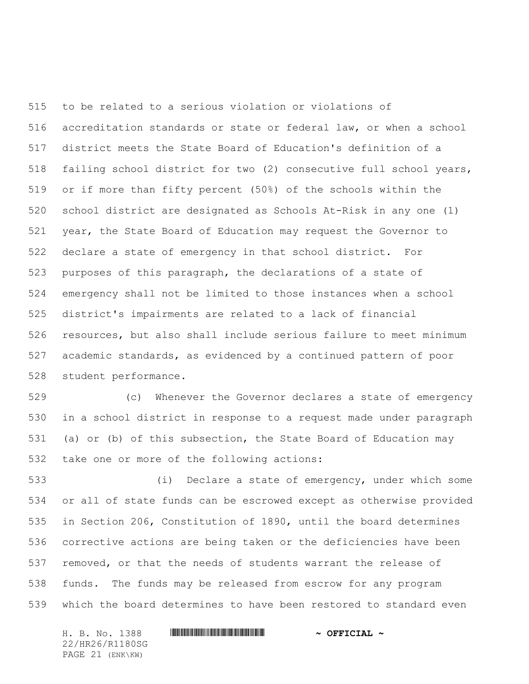to be related to a serious violation or violations of accreditation standards or state or federal law, or when a school district meets the State Board of Education's definition of a failing school district for two (2) consecutive full school years, or if more than fifty percent (50%) of the schools within the school district are designated as Schools At-Risk in any one (1) year, the State Board of Education may request the Governor to declare a state of emergency in that school district. For purposes of this paragraph, the declarations of a state of emergency shall not be limited to those instances when a school district's impairments are related to a lack of financial resources, but also shall include serious failure to meet minimum academic standards, as evidenced by a continued pattern of poor student performance.

 (c) Whenever the Governor declares a state of emergency in a school district in response to a request made under paragraph (a) or (b) of this subsection, the State Board of Education may take one or more of the following actions:

 (i) Declare a state of emergency, under which some or all of state funds can be escrowed except as otherwise provided in Section 206, Constitution of 1890, until the board determines corrective actions are being taken or the deficiencies have been removed, or that the needs of students warrant the release of funds. The funds may be released from escrow for any program which the board determines to have been restored to standard even

22/HR26/R1180SG PAGE 21 (ENK\KW)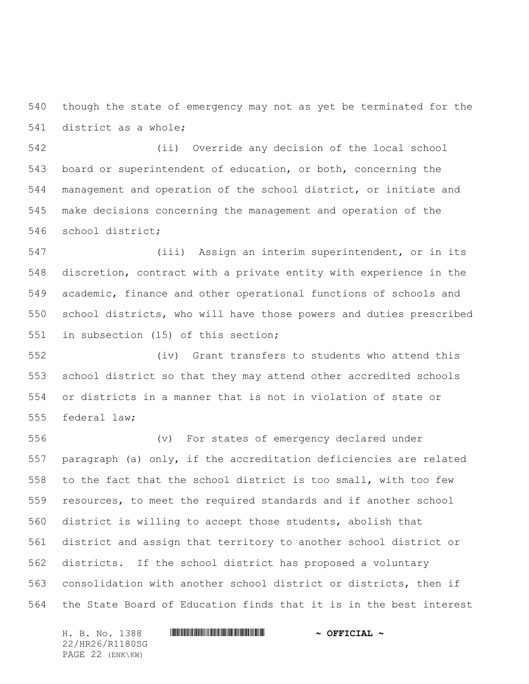though the state of emergency may not as yet be terminated for the district as a whole;

 (ii) Override any decision of the local school board or superintendent of education, or both, concerning the management and operation of the school district, or initiate and make decisions concerning the management and operation of the school district;

 (iii) Assign an interim superintendent, or in its discretion, contract with a private entity with experience in the academic, finance and other operational functions of schools and school districts, who will have those powers and duties prescribed in subsection (15) of this section;

 (iv) Grant transfers to students who attend this school district so that they may attend other accredited schools or districts in a manner that is not in violation of state or federal law;

 (v) For states of emergency declared under paragraph (a) only, if the accreditation deficiencies are related to the fact that the school district is too small, with too few resources, to meet the required standards and if another school district is willing to accept those students, abolish that district and assign that territory to another school district or districts. If the school district has proposed a voluntary consolidation with another school district or districts, then if the State Board of Education finds that it is in the best interest

H. B. No. 1388 \*HR26/R1180SG\* **~ OFFICIAL ~** 22/HR26/R1180SG PAGE 22 (ENK\KW)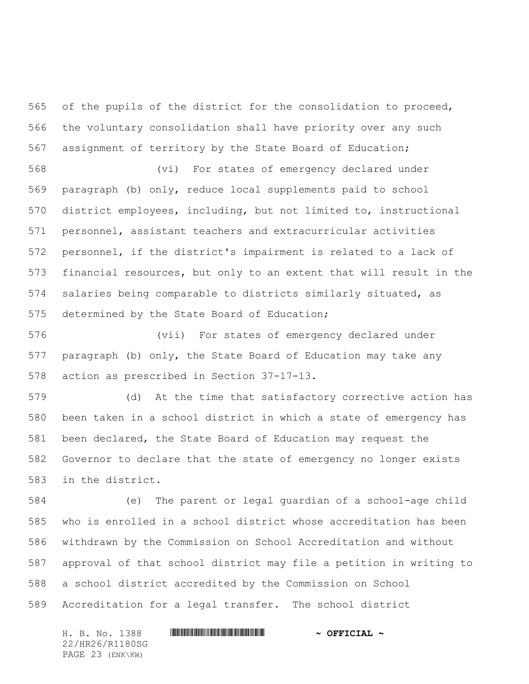of the pupils of the district for the consolidation to proceed, the voluntary consolidation shall have priority over any such assignment of territory by the State Board of Education;

 (vi) For states of emergency declared under paragraph (b) only, reduce local supplements paid to school district employees, including, but not limited to, instructional personnel, assistant teachers and extracurricular activities personnel, if the district's impairment is related to a lack of financial resources, but only to an extent that will result in the salaries being comparable to districts similarly situated, as determined by the State Board of Education;

 (vii) For states of emergency declared under paragraph (b) only, the State Board of Education may take any action as prescribed in Section 37-17-13.

 (d) At the time that satisfactory corrective action has been taken in a school district in which a state of emergency has been declared, the State Board of Education may request the Governor to declare that the state of emergency no longer exists in the district.

 (e) The parent or legal guardian of a school-age child who is enrolled in a school district whose accreditation has been withdrawn by the Commission on School Accreditation and without approval of that school district may file a petition in writing to a school district accredited by the Commission on School Accreditation for a legal transfer. The school district

22/HR26/R1180SG PAGE 23 (ENK\KW)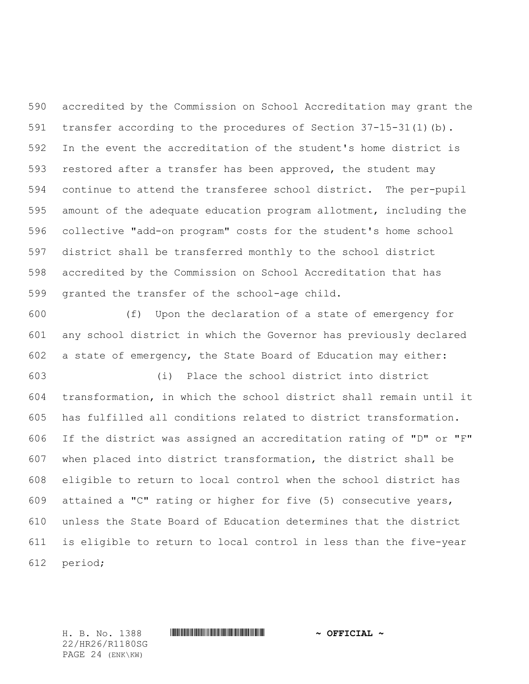accredited by the Commission on School Accreditation may grant the transfer according to the procedures of Section 37-15-31(1)(b). In the event the accreditation of the student's home district is restored after a transfer has been approved, the student may continue to attend the transferee school district. The per-pupil amount of the adequate education program allotment, including the collective "add-on program" costs for the student's home school district shall be transferred monthly to the school district accredited by the Commission on School Accreditation that has granted the transfer of the school-age child.

 (f) Upon the declaration of a state of emergency for any school district in which the Governor has previously declared a state of emergency, the State Board of Education may either:

 (i) Place the school district into district transformation, in which the school district shall remain until it has fulfilled all conditions related to district transformation. If the district was assigned an accreditation rating of "D" or "F" when placed into district transformation, the district shall be eligible to return to local control when the school district has attained a "C" rating or higher for five (5) consecutive years, unless the State Board of Education determines that the district is eligible to return to local control in less than the five-year period;

22/HR26/R1180SG PAGE 24 (ENK\KW)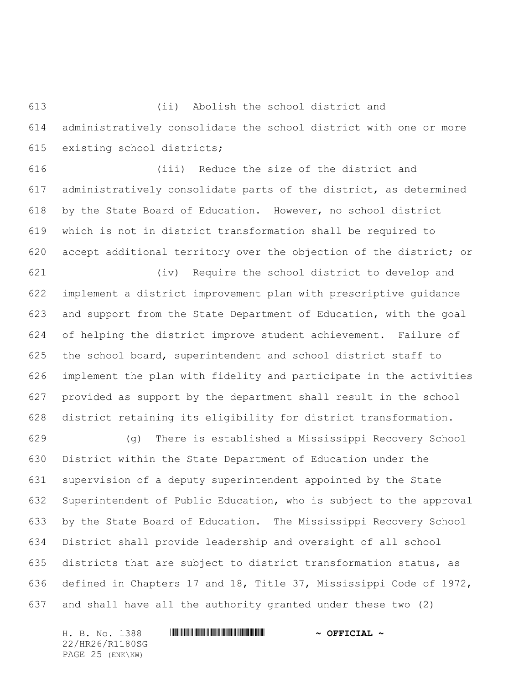(ii) Abolish the school district and administratively consolidate the school district with one or more existing school districts;

 (iii) Reduce the size of the district and administratively consolidate parts of the district, as determined by the State Board of Education. However, no school district which is not in district transformation shall be required to accept additional territory over the objection of the district; or

 (iv) Require the school district to develop and implement a district improvement plan with prescriptive guidance and support from the State Department of Education, with the goal of helping the district improve student achievement. Failure of the school board, superintendent and school district staff to implement the plan with fidelity and participate in the activities provided as support by the department shall result in the school district retaining its eligibility for district transformation.

 (g) There is established a Mississippi Recovery School District within the State Department of Education under the supervision of a deputy superintendent appointed by the State Superintendent of Public Education, who is subject to the approval by the State Board of Education. The Mississippi Recovery School District shall provide leadership and oversight of all school districts that are subject to district transformation status, as defined in Chapters 17 and 18, Title 37, Mississippi Code of 1972, and shall have all the authority granted under these two (2)

H. B. No. 1388 \*HR26/R1180SG\* **~ OFFICIAL ~** 22/HR26/R1180SG PAGE 25 (ENK\KW)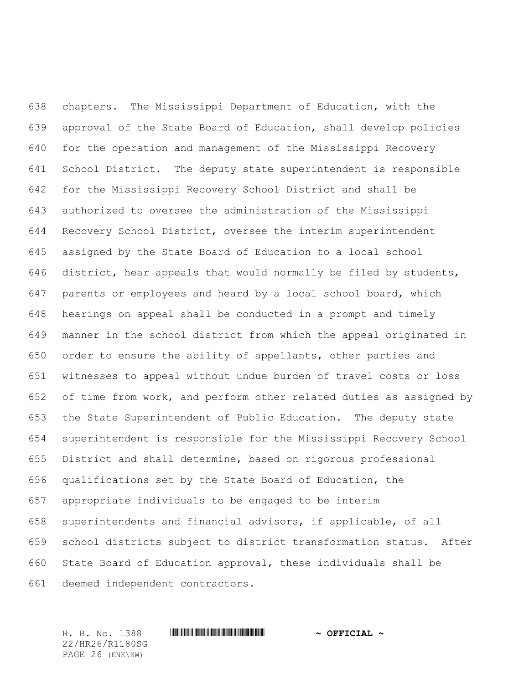chapters. The Mississippi Department of Education, with the approval of the State Board of Education, shall develop policies for the operation and management of the Mississippi Recovery School District. The deputy state superintendent is responsible for the Mississippi Recovery School District and shall be authorized to oversee the administration of the Mississippi Recovery School District, oversee the interim superintendent assigned by the State Board of Education to a local school district, hear appeals that would normally be filed by students, parents or employees and heard by a local school board, which hearings on appeal shall be conducted in a prompt and timely manner in the school district from which the appeal originated in order to ensure the ability of appellants, other parties and witnesses to appeal without undue burden of travel costs or loss of time from work, and perform other related duties as assigned by the State Superintendent of Public Education. The deputy state superintendent is responsible for the Mississippi Recovery School District and shall determine, based on rigorous professional qualifications set by the State Board of Education, the appropriate individuals to be engaged to be interim superintendents and financial advisors, if applicable, of all school districts subject to district transformation status. After State Board of Education approval, these individuals shall be deemed independent contractors.

22/HR26/R1180SG PAGE 26 (ENK\KW)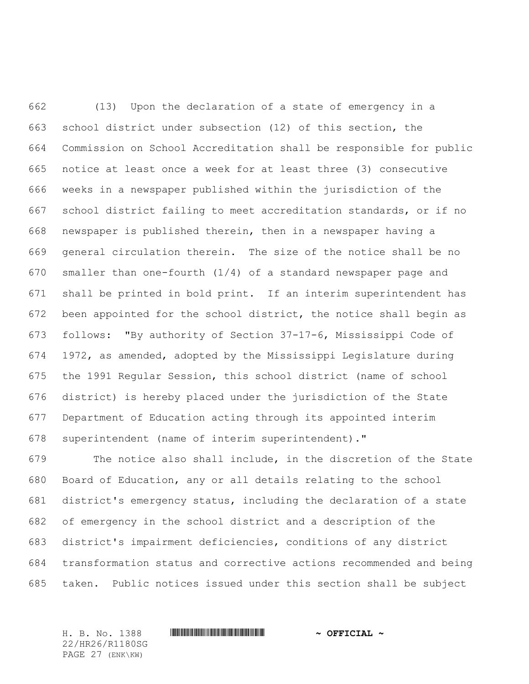(13) Upon the declaration of a state of emergency in a school district under subsection (12) of this section, the Commission on School Accreditation shall be responsible for public notice at least once a week for at least three (3) consecutive weeks in a newspaper published within the jurisdiction of the school district failing to meet accreditation standards, or if no newspaper is published therein, then in a newspaper having a general circulation therein. The size of the notice shall be no smaller than one-fourth (1/4) of a standard newspaper page and shall be printed in bold print. If an interim superintendent has been appointed for the school district, the notice shall begin as follows: "By authority of Section 37-17-6, Mississippi Code of 1972, as amended, adopted by the Mississippi Legislature during the 1991 Regular Session, this school district (name of school district) is hereby placed under the jurisdiction of the State Department of Education acting through its appointed interim superintendent (name of interim superintendent)."

 The notice also shall include, in the discretion of the State Board of Education, any or all details relating to the school district's emergency status, including the declaration of a state of emergency in the school district and a description of the district's impairment deficiencies, conditions of any district transformation status and corrective actions recommended and being taken. Public notices issued under this section shall be subject

22/HR26/R1180SG PAGE 27 (ENK\KW)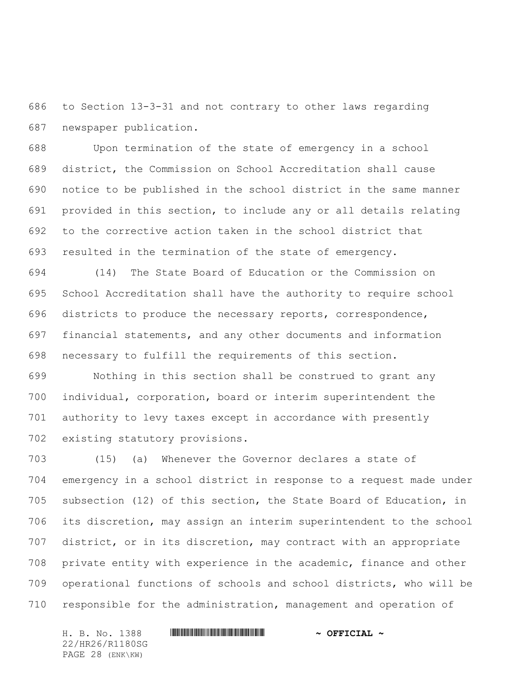to Section 13-3-31 and not contrary to other laws regarding newspaper publication.

 Upon termination of the state of emergency in a school district, the Commission on School Accreditation shall cause notice to be published in the school district in the same manner provided in this section, to include any or all details relating to the corrective action taken in the school district that resulted in the termination of the state of emergency.

 (14) The State Board of Education or the Commission on School Accreditation shall have the authority to require school districts to produce the necessary reports, correspondence, financial statements, and any other documents and information necessary to fulfill the requirements of this section.

 Nothing in this section shall be construed to grant any individual, corporation, board or interim superintendent the authority to levy taxes except in accordance with presently existing statutory provisions.

 (15) (a) Whenever the Governor declares a state of emergency in a school district in response to a request made under subsection (12) of this section, the State Board of Education, in its discretion, may assign an interim superintendent to the school district, or in its discretion, may contract with an appropriate private entity with experience in the academic, finance and other operational functions of schools and school districts, who will be responsible for the administration, management and operation of

H. B. No. 1388 \*HR26/R1180SG\* **~ OFFICIAL ~** 22/HR26/R1180SG PAGE 28 (ENK\KW)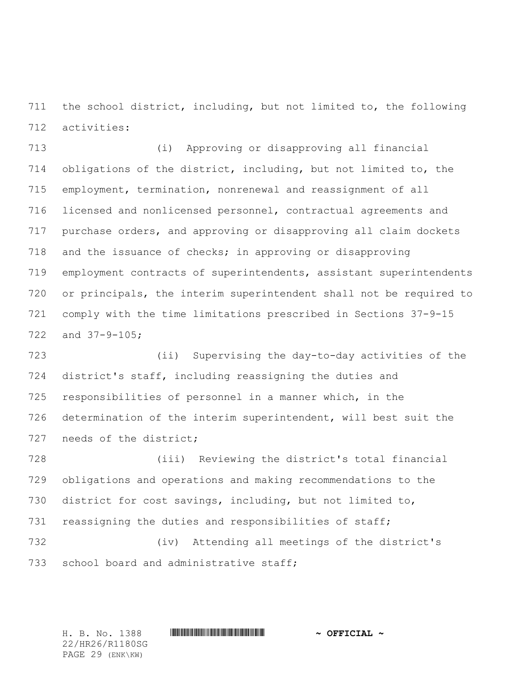the school district, including, but not limited to, the following activities:

 (i) Approving or disapproving all financial obligations of the district, including, but not limited to, the employment, termination, nonrenewal and reassignment of all licensed and nonlicensed personnel, contractual agreements and purchase orders, and approving or disapproving all claim dockets and the issuance of checks; in approving or disapproving employment contracts of superintendents, assistant superintendents or principals, the interim superintendent shall not be required to comply with the time limitations prescribed in Sections 37-9-15 and 37-9-105;

 (ii) Supervising the day-to-day activities of the district's staff, including reassigning the duties and responsibilities of personnel in a manner which, in the determination of the interim superintendent, will best suit the 727 needs of the district;

 (iii) Reviewing the district's total financial obligations and operations and making recommendations to the district for cost savings, including, but not limited to, reassigning the duties and responsibilities of staff; (iv) Attending all meetings of the district's 733 school board and administrative staff;

H. B. No. 1388 \*HR26/R1180SG\* **~ OFFICIAL ~**

22/HR26/R1180SG PAGE 29 (ENK\KW)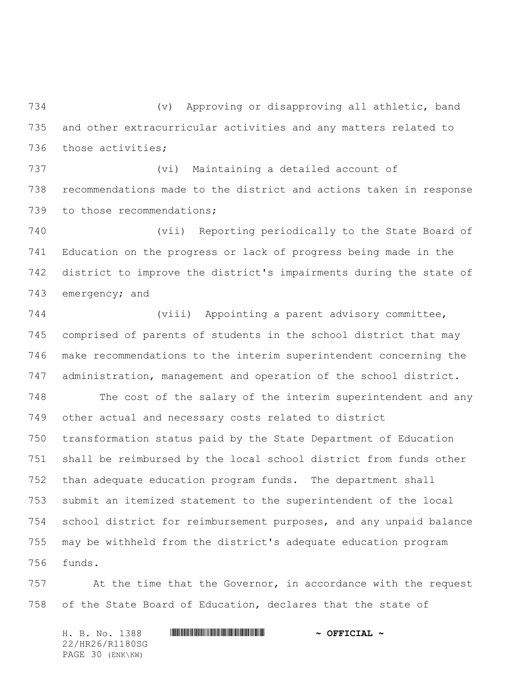(v) Approving or disapproving all athletic, band and other extracurricular activities and any matters related to those activities;

 (vi) Maintaining a detailed account of recommendations made to the district and actions taken in response 739 to those recommendations;

 (vii) Reporting periodically to the State Board of Education on the progress or lack of progress being made in the district to improve the district's impairments during the state of 743 emergency; and

 (viii) Appointing a parent advisory committee, comprised of parents of students in the school district that may make recommendations to the interim superintendent concerning the administration, management and operation of the school district.

 The cost of the salary of the interim superintendent and any other actual and necessary costs related to district transformation status paid by the State Department of Education shall be reimbursed by the local school district from funds other than adequate education program funds. The department shall submit an itemized statement to the superintendent of the local school district for reimbursement purposes, and any unpaid balance may be withheld from the district's adequate education program funds.

 At the time that the Governor, in accordance with the request of the State Board of Education, declares that the state of

H. B. No. 1388 \*HR26/R1180SG\* **~ OFFICIAL ~** 22/HR26/R1180SG PAGE 30 (ENK\KW)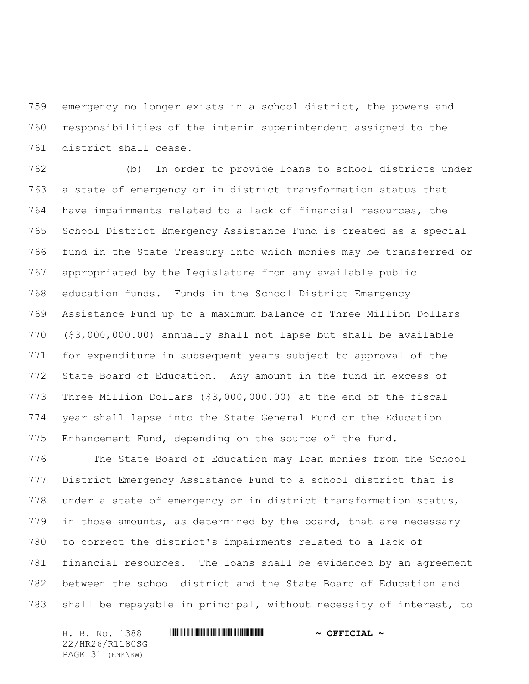emergency no longer exists in a school district, the powers and responsibilities of the interim superintendent assigned to the district shall cease.

 (b) In order to provide loans to school districts under a state of emergency or in district transformation status that have impairments related to a lack of financial resources, the School District Emergency Assistance Fund is created as a special fund in the State Treasury into which monies may be transferred or appropriated by the Legislature from any available public education funds. Funds in the School District Emergency Assistance Fund up to a maximum balance of Three Million Dollars (\$3,000,000.00) annually shall not lapse but shall be available for expenditure in subsequent years subject to approval of the State Board of Education. Any amount in the fund in excess of Three Million Dollars (\$3,000,000.00) at the end of the fiscal year shall lapse into the State General Fund or the Education Enhancement Fund, depending on the source of the fund.

 The State Board of Education may loan monies from the School District Emergency Assistance Fund to a school district that is under a state of emergency or in district transformation status, 779 in those amounts, as determined by the board, that are necessary to correct the district's impairments related to a lack of financial resources. The loans shall be evidenced by an agreement between the school district and the State Board of Education and shall be repayable in principal, without necessity of interest, to

H. B. No. 1388 \*HR26/R1180SG\* **~ OFFICIAL ~** 22/HR26/R1180SG PAGE 31 (ENK\KW)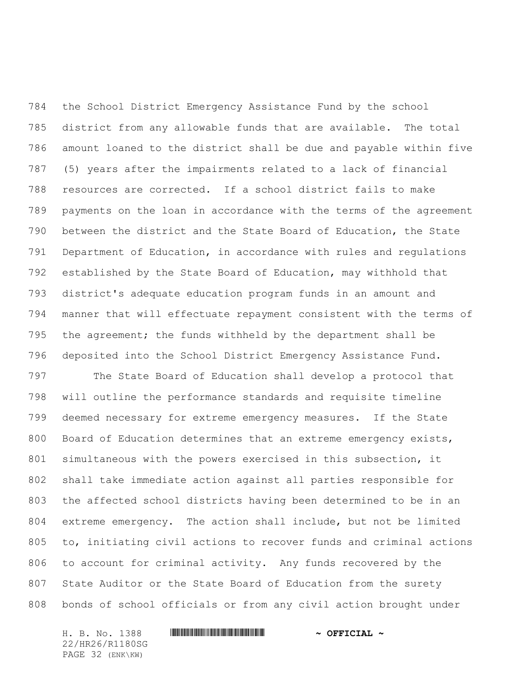the School District Emergency Assistance Fund by the school district from any allowable funds that are available. The total amount loaned to the district shall be due and payable within five (5) years after the impairments related to a lack of financial resources are corrected. If a school district fails to make payments on the loan in accordance with the terms of the agreement between the district and the State Board of Education, the State Department of Education, in accordance with rules and regulations established by the State Board of Education, may withhold that district's adequate education program funds in an amount and manner that will effectuate repayment consistent with the terms of the agreement; the funds withheld by the department shall be deposited into the School District Emergency Assistance Fund.

 The State Board of Education shall develop a protocol that will outline the performance standards and requisite timeline deemed necessary for extreme emergency measures. If the State Board of Education determines that an extreme emergency exists, simultaneous with the powers exercised in this subsection, it shall take immediate action against all parties responsible for the affected school districts having been determined to be in an extreme emergency. The action shall include, but not be limited to, initiating civil actions to recover funds and criminal actions to account for criminal activity. Any funds recovered by the State Auditor or the State Board of Education from the surety bonds of school officials or from any civil action brought under

22/HR26/R1180SG PAGE 32 (ENK\KW)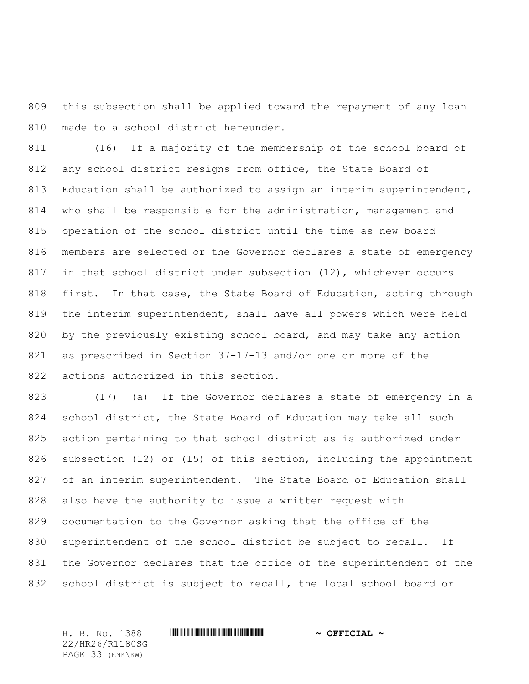this subsection shall be applied toward the repayment of any loan made to a school district hereunder.

 (16) If a majority of the membership of the school board of any school district resigns from office, the State Board of 813 Education shall be authorized to assign an interim superintendent, who shall be responsible for the administration, management and operation of the school district until the time as new board members are selected or the Governor declares a state of emergency in that school district under subsection (12), whichever occurs first. In that case, the State Board of Education, acting through the interim superintendent, shall have all powers which were held by the previously existing school board, and may take any action as prescribed in Section 37-17-13 and/or one or more of the actions authorized in this section.

 (17) (a) If the Governor declares a state of emergency in a school district, the State Board of Education may take all such action pertaining to that school district as is authorized under subsection (12) or (15) of this section, including the appointment 827 of an interim superintendent. The State Board of Education shall also have the authority to issue a written request with documentation to the Governor asking that the office of the superintendent of the school district be subject to recall. If the Governor declares that the office of the superintendent of the school district is subject to recall, the local school board or

22/HR26/R1180SG PAGE 33 (ENK\KW)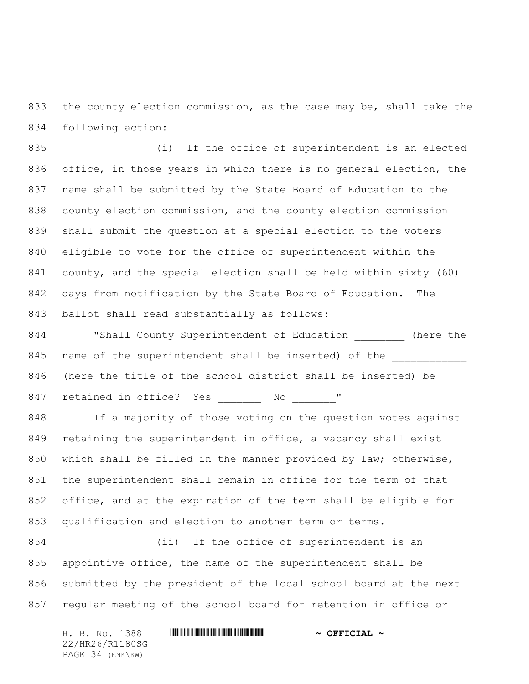the county election commission, as the case may be, shall take the following action:

 (i) If the office of superintendent is an elected 836 office, in those years in which there is no general election, the name shall be submitted by the State Board of Education to the county election commission, and the county election commission shall submit the question at a special election to the voters eligible to vote for the office of superintendent within the county, and the special election shall be held within sixty (60) days from notification by the State Board of Education. The ballot shall read substantially as follows:

844 "Shall County Superintendent of Education (here the 845 name of the superintendent shall be inserted) of the (here the title of the school district shall be inserted) be 847 retained in office? Yes \_\_\_\_\_\_\_ No \_\_\_\_\_\_\_"

 If a majority of those voting on the question votes against retaining the superintendent in office, a vacancy shall exist which shall be filled in the manner provided by law; otherwise, the superintendent shall remain in office for the term of that office, and at the expiration of the term shall be eligible for qualification and election to another term or terms.

 (ii) If the office of superintendent is an appointive office, the name of the superintendent shall be submitted by the president of the local school board at the next regular meeting of the school board for retention in office or

22/HR26/R1180SG PAGE 34 (ENK\KW)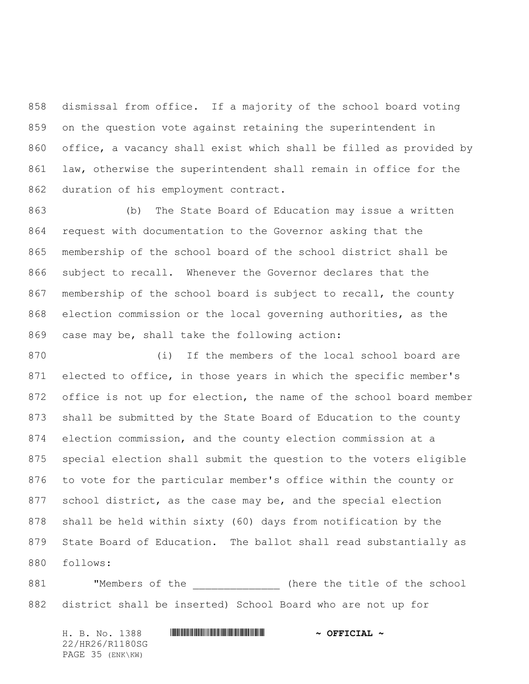dismissal from office. If a majority of the school board voting on the question vote against retaining the superintendent in office, a vacancy shall exist which shall be filled as provided by law, otherwise the superintendent shall remain in office for the duration of his employment contract.

 (b) The State Board of Education may issue a written request with documentation to the Governor asking that the membership of the school board of the school district shall be subject to recall. Whenever the Governor declares that the membership of the school board is subject to recall, the county election commission or the local governing authorities, as the case may be, shall take the following action:

 (i) If the members of the local school board are elected to office, in those years in which the specific member's office is not up for election, the name of the school board member shall be submitted by the State Board of Education to the county election commission, and the county election commission at a special election shall submit the question to the voters eligible to vote for the particular member's office within the county or 877 school district, as the case may be, and the special election shall be held within sixty (60) days from notification by the State Board of Education. The ballot shall read substantially as follows:

881 "Members of the  $\qquad$  (here the title of the school district shall be inserted) School Board who are not up for

22/HR26/R1180SG PAGE 35 (ENK\KW)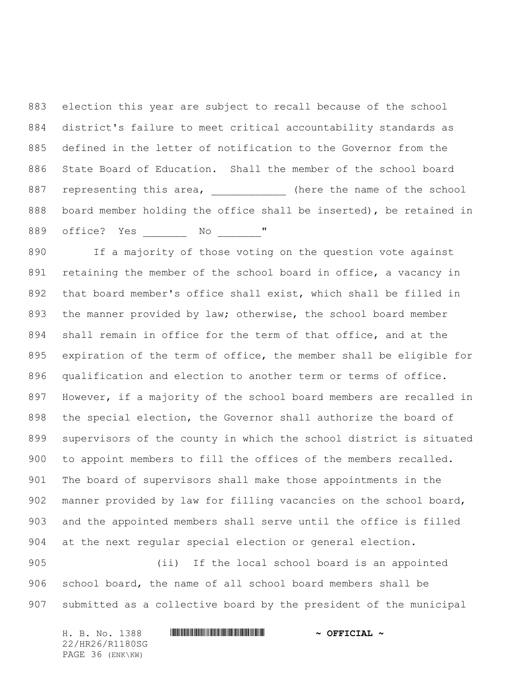election this year are subject to recall because of the school district's failure to meet critical accountability standards as defined in the letter of notification to the Governor from the State Board of Education. Shall the member of the school board 887 representing this area,  $\qquad \qquad$  (here the name of the school board member holding the office shall be inserted), be retained in 889 office? Yes No "

890 If a majority of those voting on the question vote against retaining the member of the school board in office, a vacancy in that board member's office shall exist, which shall be filled in the manner provided by law; otherwise, the school board member shall remain in office for the term of that office, and at the expiration of the term of office, the member shall be eligible for qualification and election to another term or terms of office. However, if a majority of the school board members are recalled in the special election, the Governor shall authorize the board of supervisors of the county in which the school district is situated to appoint members to fill the offices of the members recalled. The board of supervisors shall make those appointments in the manner provided by law for filling vacancies on the school board, and the appointed members shall serve until the office is filled at the next regular special election or general election.

 (ii) If the local school board is an appointed school board, the name of all school board members shall be submitted as a collective board by the president of the municipal

H. B. No. 1388 \*HR26/R1180SG\* **~ OFFICIAL ~**

22/HR26/R1180SG PAGE 36 (ENK\KW)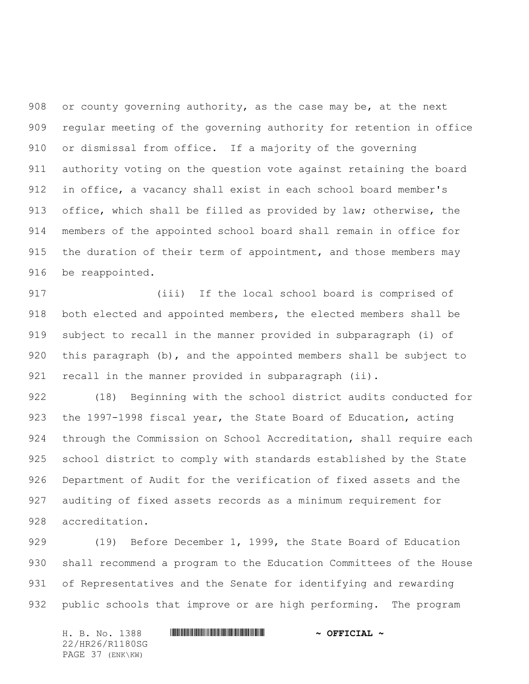or county governing authority, as the case may be, at the next regular meeting of the governing authority for retention in office or dismissal from office. If a majority of the governing authority voting on the question vote against retaining the board in office, a vacancy shall exist in each school board member's office, which shall be filled as provided by law; otherwise, the members of the appointed school board shall remain in office for 915 the duration of their term of appointment, and those members may be reappointed.

 (iii) If the local school board is comprised of both elected and appointed members, the elected members shall be subject to recall in the manner provided in subparagraph (i) of this paragraph (b), and the appointed members shall be subject to 921 recall in the manner provided in subparagraph (ii).

 (18) Beginning with the school district audits conducted for 923 the 1997-1998 fiscal year, the State Board of Education, acting through the Commission on School Accreditation, shall require each school district to comply with standards established by the State Department of Audit for the verification of fixed assets and the auditing of fixed assets records as a minimum requirement for accreditation.

929 (19) Before December 1, 1999, the State Board of Education shall recommend a program to the Education Committees of the House of Representatives and the Senate for identifying and rewarding public schools that improve or are high performing. The program

H. B. No. 1388 \*HR26/R1180SG\* **~ OFFICIAL ~** 22/HR26/R1180SG PAGE 37 (ENK\KW)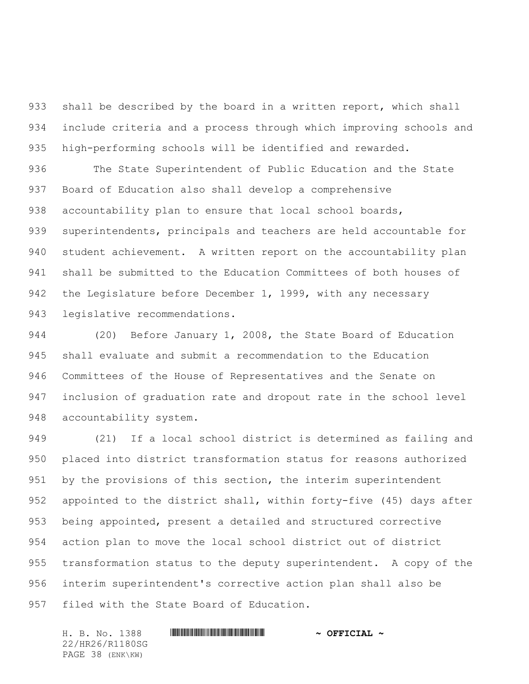933 shall be described by the board in a written report, which shall include criteria and a process through which improving schools and high-performing schools will be identified and rewarded.

 The State Superintendent of Public Education and the State Board of Education also shall develop a comprehensive accountability plan to ensure that local school boards, superintendents, principals and teachers are held accountable for student achievement. A written report on the accountability plan shall be submitted to the Education Committees of both houses of 942 the Legislature before December 1, 1999, with any necessary legislative recommendations.

 (20) Before January 1, 2008, the State Board of Education shall evaluate and submit a recommendation to the Education Committees of the House of Representatives and the Senate on inclusion of graduation rate and dropout rate in the school level accountability system.

 (21) If a local school district is determined as failing and placed into district transformation status for reasons authorized 951 by the provisions of this section, the interim superintendent appointed to the district shall, within forty-five (45) days after being appointed, present a detailed and structured corrective action plan to move the local school district out of district transformation status to the deputy superintendent. A copy of the interim superintendent's corrective action plan shall also be filed with the State Board of Education.

22/HR26/R1180SG PAGE 38 (ENK\KW)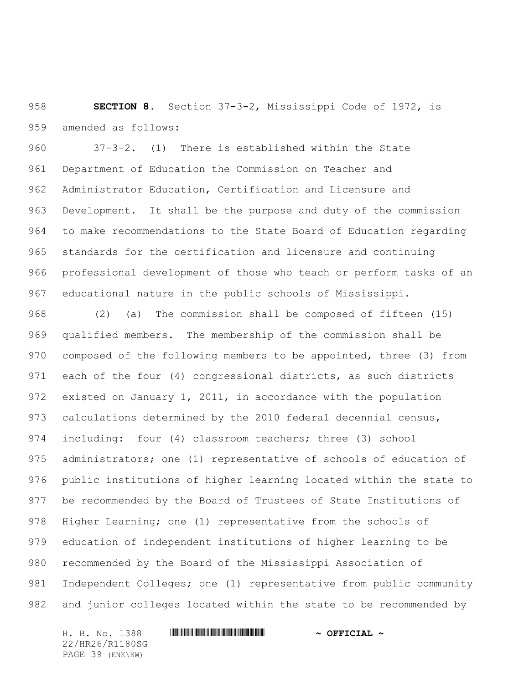**SECTION 8.** Section 37-3-2, Mississippi Code of 1972, is amended as follows:

 37-3-2. (1) There is established within the State Department of Education the Commission on Teacher and Administrator Education, Certification and Licensure and Development. It shall be the purpose and duty of the commission to make recommendations to the State Board of Education regarding standards for the certification and licensure and continuing professional development of those who teach or perform tasks of an educational nature in the public schools of Mississippi.

 (2) (a) The commission shall be composed of fifteen (15) qualified members. The membership of the commission shall be composed of the following members to be appointed, three (3) from each of the four (4) congressional districts, as such districts existed on January 1, 2011, in accordance with the population 973 calculations determined by the 2010 federal decennial census, including: four (4) classroom teachers; three (3) school administrators; one (1) representative of schools of education of public institutions of higher learning located within the state to 977 be recommended by the Board of Trustees of State Institutions of Higher Learning; one (1) representative from the schools of education of independent institutions of higher learning to be recommended by the Board of the Mississippi Association of Independent Colleges; one (1) representative from public community and junior colleges located within the state to be recommended by

H. B. No. 1388 \*HR26/R1180SG\* **~ OFFICIAL ~** 22/HR26/R1180SG PAGE 39 (ENK\KW)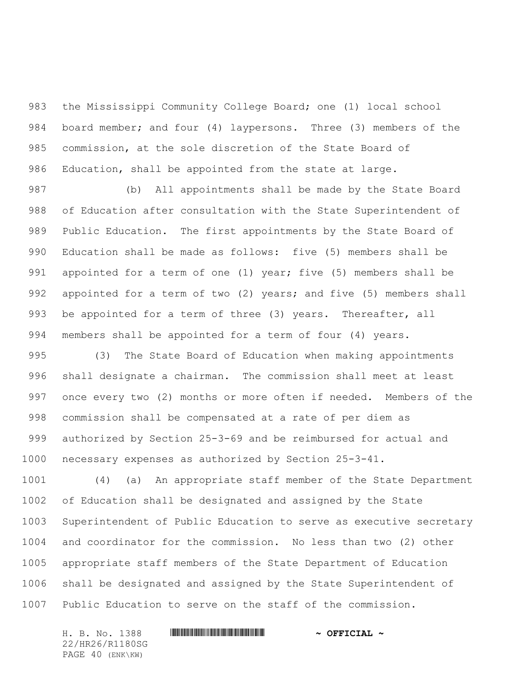the Mississippi Community College Board; one (1) local school board member; and four (4) laypersons. Three (3) members of the commission, at the sole discretion of the State Board of Education, shall be appointed from the state at large.

 (b) All appointments shall be made by the State Board of Education after consultation with the State Superintendent of Public Education. The first appointments by the State Board of Education shall be made as follows: five (5) members shall be 991 appointed for a term of one (1) year; five (5) members shall be appointed for a term of two (2) years; and five (5) members shall 993 be appointed for a term of three (3) years. Thereafter, all members shall be appointed for a term of four (4) years.

 (3) The State Board of Education when making appointments shall designate a chairman. The commission shall meet at least once every two (2) months or more often if needed. Members of the commission shall be compensated at a rate of per diem as authorized by Section 25-3-69 and be reimbursed for actual and necessary expenses as authorized by Section 25-3-41.

 (4) (a) An appropriate staff member of the State Department of Education shall be designated and assigned by the State Superintendent of Public Education to serve as executive secretary and coordinator for the commission. No less than two (2) other appropriate staff members of the State Department of Education shall be designated and assigned by the State Superintendent of Public Education to serve on the staff of the commission.

H. B. No. 1388 \*HR26/R1180SG\* **~ OFFICIAL ~** 22/HR26/R1180SG PAGE 40 (ENK\KW)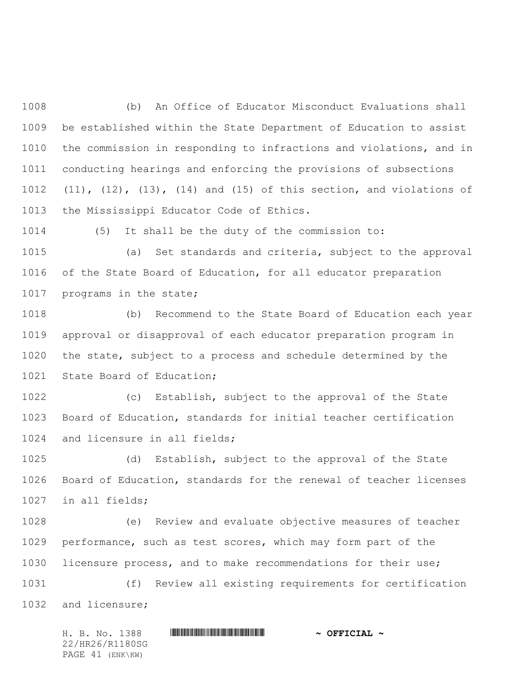(b) An Office of Educator Misconduct Evaluations shall be established within the State Department of Education to assist the commission in responding to infractions and violations, and in conducting hearings and enforcing the provisions of subsections (11), (12), (13), (14) and (15) of this section, and violations of the Mississippi Educator Code of Ethics.

(5) It shall be the duty of the commission to:

 (a) Set standards and criteria, subject to the approval of the State Board of Education, for all educator preparation programs in the state;

 (b) Recommend to the State Board of Education each year approval or disapproval of each educator preparation program in the state, subject to a process and schedule determined by the 1021 State Board of Education;

 (c) Establish, subject to the approval of the State Board of Education, standards for initial teacher certification and licensure in all fields;

 (d) Establish, subject to the approval of the State Board of Education, standards for the renewal of teacher licenses in all fields;

 (e) Review and evaluate objective measures of teacher performance, such as test scores, which may form part of the licensure process, and to make recommendations for their use; (f) Review all existing requirements for certification

and licensure;

H. B. No. 1388 \*HR26/R1180SG\* **~ OFFICIAL ~** 22/HR26/R1180SG PAGE 41 (ENK\KW)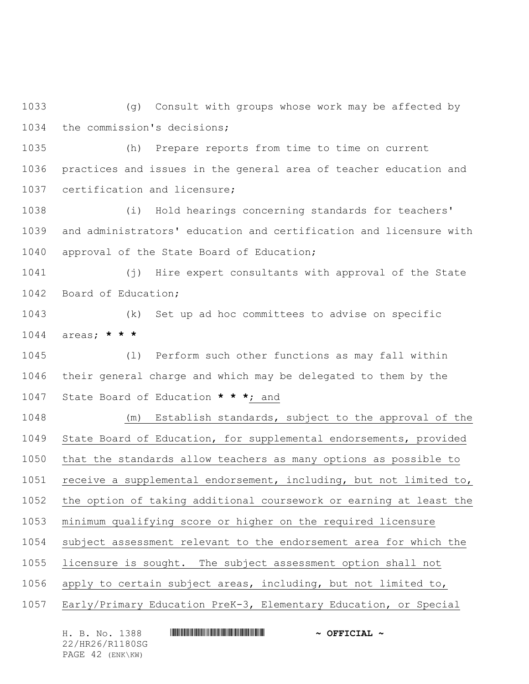(g) Consult with groups whose work may be affected by the commission's decisions;

 (h) Prepare reports from time to time on current practices and issues in the general area of teacher education and certification and licensure;

 (i) Hold hearings concerning standards for teachers' and administrators' education and certification and licensure with approval of the State Board of Education;

 (j) Hire expert consultants with approval of the State Board of Education;

 (k) Set up ad hoc committees to advise on specific areas; **\* \* \***

 (l) Perform such other functions as may fall within their general charge and which may be delegated to them by the State Board of Education **\* \* \***; and

 (m) Establish standards, subject to the approval of the State Board of Education, for supplemental endorsements, provided that the standards allow teachers as many options as possible to receive a supplemental endorsement, including, but not limited to, the option of taking additional coursework or earning at least the minimum qualifying score or higher on the required licensure subject assessment relevant to the endorsement area for which the licensure is sought. The subject assessment option shall not apply to certain subject areas, including, but not limited to, Early/Primary Education PreK-3, Elementary Education, or Special

H. B. No. 1388 \*HR26/R1180SG\* **~ OFFICIAL ~** 22/HR26/R1180SG PAGE 42 (ENK\KW)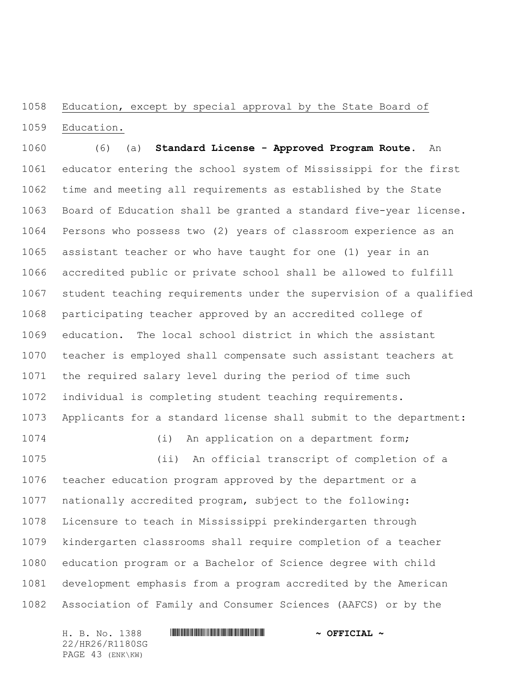# 1058 Education, except by special approval by the State Board of Education.

 (6) (a) **Standard License - Approved Program Route**. An educator entering the school system of Mississippi for the first time and meeting all requirements as established by the State Board of Education shall be granted a standard five-year license. Persons who possess two (2) years of classroom experience as an assistant teacher or who have taught for one (1) year in an accredited public or private school shall be allowed to fulfill student teaching requirements under the supervision of a qualified participating teacher approved by an accredited college of education. The local school district in which the assistant teacher is employed shall compensate such assistant teachers at the required salary level during the period of time such individual is completing student teaching requirements. Applicants for a standard license shall submit to the department: (i) An application on a department form; (ii) An official transcript of completion of a teacher education program approved by the department or a nationally accredited program, subject to the following: Licensure to teach in Mississippi prekindergarten through kindergarten classrooms shall require completion of a teacher education program or a Bachelor of Science degree with child development emphasis from a program accredited by the American

Association of Family and Consumer Sciences (AAFCS) or by the

H. B. No. 1388 \*HR26/R1180SG\* **~ OFFICIAL ~** 22/HR26/R1180SG PAGE 43 (ENK\KW)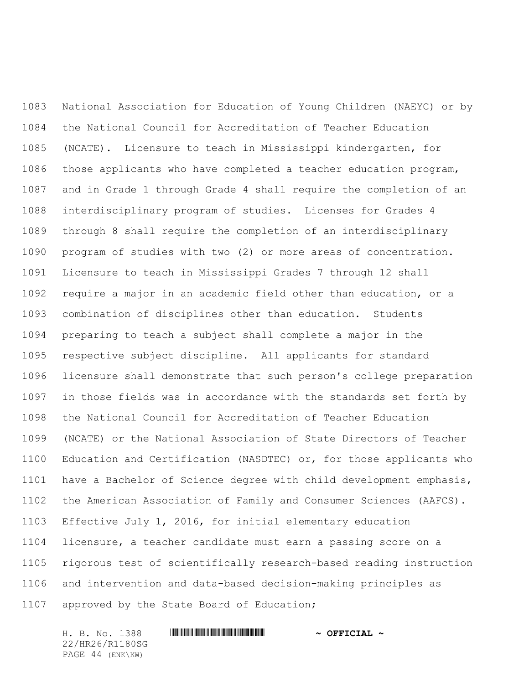National Association for Education of Young Children (NAEYC) or by the National Council for Accreditation of Teacher Education (NCATE). Licensure to teach in Mississippi kindergarten, for those applicants who have completed a teacher education program, and in Grade 1 through Grade 4 shall require the completion of an interdisciplinary program of studies. Licenses for Grades 4 through 8 shall require the completion of an interdisciplinary program of studies with two (2) or more areas of concentration. Licensure to teach in Mississippi Grades 7 through 12 shall require a major in an academic field other than education, or a combination of disciplines other than education. Students preparing to teach a subject shall complete a major in the respective subject discipline. All applicants for standard licensure shall demonstrate that such person's college preparation in those fields was in accordance with the standards set forth by the National Council for Accreditation of Teacher Education (NCATE) or the National Association of State Directors of Teacher Education and Certification (NASDTEC) or, for those applicants who have a Bachelor of Science degree with child development emphasis, the American Association of Family and Consumer Sciences (AAFCS). Effective July 1, 2016, for initial elementary education licensure, a teacher candidate must earn a passing score on a rigorous test of scientifically research-based reading instruction and intervention and data-based decision-making principles as approved by the State Board of Education;

H. B. No. 1388 \*HR26/R1180SG\* **~ OFFICIAL ~** 22/HR26/R1180SG PAGE 44 (ENK\KW)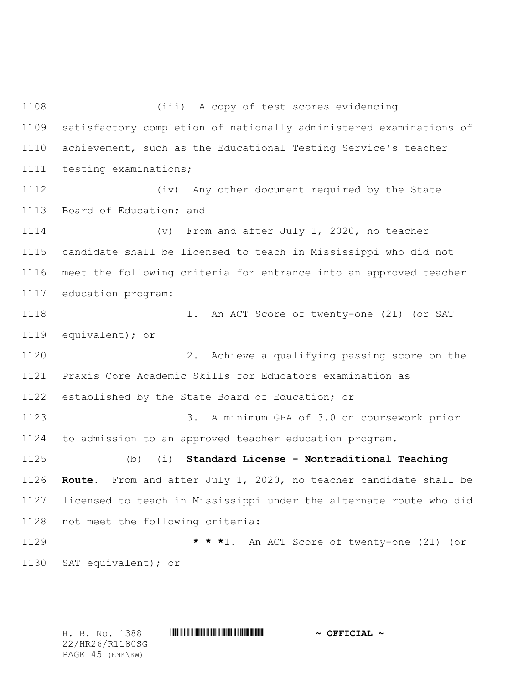(iii) A copy of test scores evidencing satisfactory completion of nationally administered examinations of achievement, such as the Educational Testing Service's teacher testing examinations; (iv) Any other document required by the State Board of Education; and (v) From and after July 1, 2020, no teacher candidate shall be licensed to teach in Mississippi who did not meet the following criteria for entrance into an approved teacher education program: 1. An ACT Score of twenty-one (21) (or SAT equivalent); or 2. Achieve a qualifying passing score on the Praxis Core Academic Skills for Educators examination as established by the State Board of Education; or 3. A minimum GPA of 3.0 on coursework prior to admission to an approved teacher education program. (b) (i) **Standard License - Nontraditional Teaching Route**. From and after July 1, 2020, no teacher candidate shall be licensed to teach in Mississippi under the alternate route who did not meet the following criteria: **\* \* \***1. An ACT Score of twenty-one (21) (or SAT equivalent); or

22/HR26/R1180SG PAGE 45 (ENK\KW)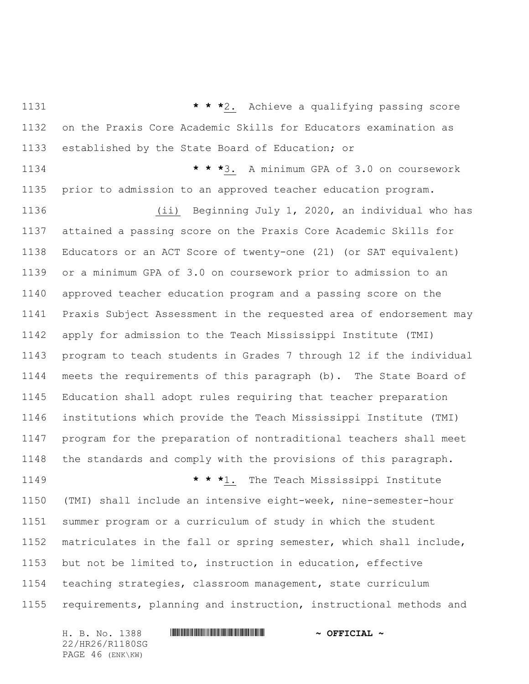**\* \* \***2. Achieve a qualifying passing score on the Praxis Core Academic Skills for Educators examination as established by the State Board of Education; or

 **\* \* \***3. A minimum GPA of 3.0 on coursework prior to admission to an approved teacher education program.

 (ii) Beginning July 1, 2020, an individual who has attained a passing score on the Praxis Core Academic Skills for Educators or an ACT Score of twenty-one (21) (or SAT equivalent) or a minimum GPA of 3.0 on coursework prior to admission to an approved teacher education program and a passing score on the Praxis Subject Assessment in the requested area of endorsement may apply for admission to the Teach Mississippi Institute (TMI) program to teach students in Grades 7 through 12 if the individual meets the requirements of this paragraph (b). The State Board of Education shall adopt rules requiring that teacher preparation institutions which provide the Teach Mississippi Institute (TMI) program for the preparation of nontraditional teachers shall meet the standards and comply with the provisions of this paragraph.

 **\* \* \***1. The Teach Mississippi Institute (TMI) shall include an intensive eight-week, nine-semester-hour summer program or a curriculum of study in which the student matriculates in the fall or spring semester, which shall include, but not be limited to, instruction in education, effective teaching strategies, classroom management, state curriculum requirements, planning and instruction, instructional methods and

H. B. No. 1388 \*HR26/R1180SG\* **~ OFFICIAL ~** 22/HR26/R1180SG PAGE 46 (ENK\KW)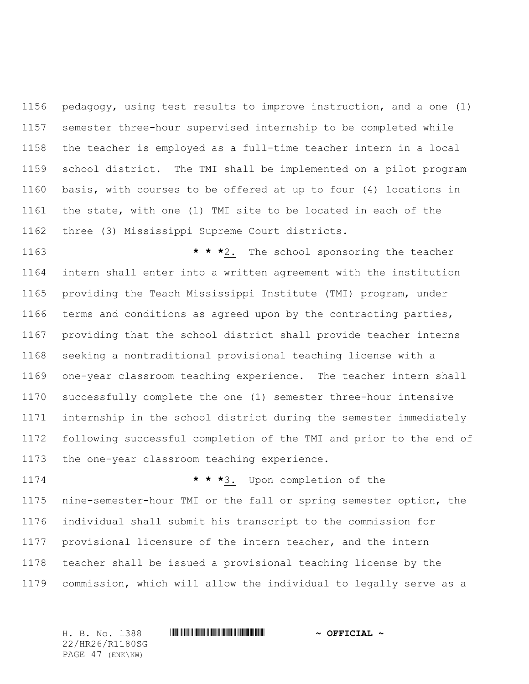pedagogy, using test results to improve instruction, and a one (1) semester three-hour supervised internship to be completed while the teacher is employed as a full-time teacher intern in a local school district. The TMI shall be implemented on a pilot program basis, with courses to be offered at up to four (4) locations in the state, with one (1) TMI site to be located in each of the three (3) Mississippi Supreme Court districts.

 **\* \* \***2. The school sponsoring the teacher intern shall enter into a written agreement with the institution providing the Teach Mississippi Institute (TMI) program, under terms and conditions as agreed upon by the contracting parties, providing that the school district shall provide teacher interns seeking a nontraditional provisional teaching license with a one-year classroom teaching experience. The teacher intern shall successfully complete the one (1) semester three-hour intensive internship in the school district during the semester immediately following successful completion of the TMI and prior to the end of the one-year classroom teaching experience.

 **\* \* \***3. Upon completion of the nine-semester-hour TMI or the fall or spring semester option, the individual shall submit his transcript to the commission for provisional licensure of the intern teacher, and the intern teacher shall be issued a provisional teaching license by the commission, which will allow the individual to legally serve as a

H. B. No. 1388 \*HR26/R1180SG\* **~ OFFICIAL ~** 22/HR26/R1180SG PAGE 47 (ENK\KW)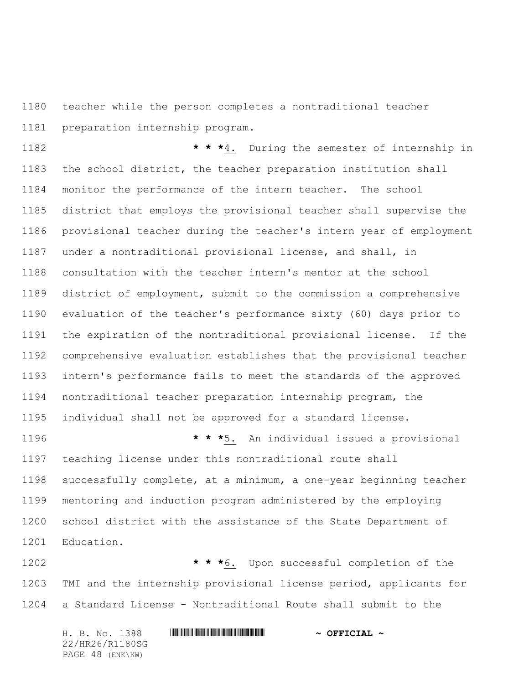teacher while the person completes a nontraditional teacher preparation internship program.

 **\* \* \***4. During the semester of internship in the school district, the teacher preparation institution shall monitor the performance of the intern teacher. The school district that employs the provisional teacher shall supervise the provisional teacher during the teacher's intern year of employment under a nontraditional provisional license, and shall, in consultation with the teacher intern's mentor at the school district of employment, submit to the commission a comprehensive evaluation of the teacher's performance sixty (60) days prior to the expiration of the nontraditional provisional license. If the comprehensive evaluation establishes that the provisional teacher intern's performance fails to meet the standards of the approved nontraditional teacher preparation internship program, the individual shall not be approved for a standard license.

 **\* \* \***5. An individual issued a provisional teaching license under this nontraditional route shall successfully complete, at a minimum, a one-year beginning teacher mentoring and induction program administered by the employing school district with the assistance of the State Department of Education.

 **\* \* \***6. Upon successful completion of the TMI and the internship provisional license period, applicants for a Standard License - Nontraditional Route shall submit to the

H. B. No. 1388 \*HR26/R1180SG\* **~ OFFICIAL ~** 22/HR26/R1180SG PAGE 48 (ENK\KW)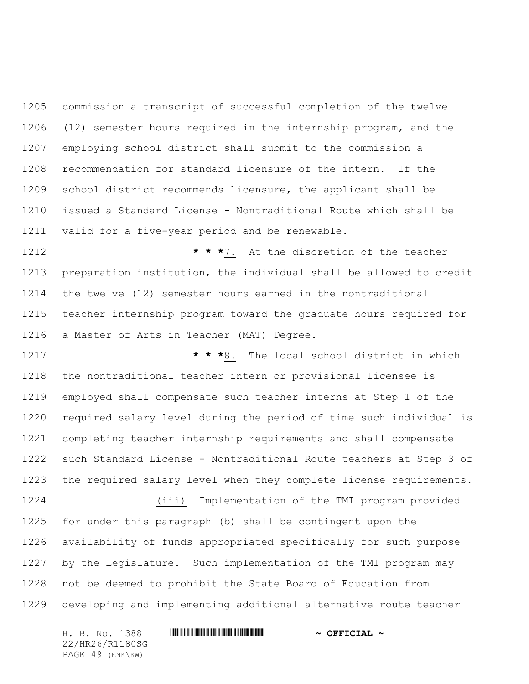commission a transcript of successful completion of the twelve (12) semester hours required in the internship program, and the employing school district shall submit to the commission a recommendation for standard licensure of the intern. If the school district recommends licensure, the applicant shall be issued a Standard License - Nontraditional Route which shall be valid for a five-year period and be renewable.

 **\* \* \***7. At the discretion of the teacher preparation institution, the individual shall be allowed to credit the twelve (12) semester hours earned in the nontraditional teacher internship program toward the graduate hours required for a Master of Arts in Teacher (MAT) Degree.

 **\* \* \***8. The local school district in which the nontraditional teacher intern or provisional licensee is employed shall compensate such teacher interns at Step 1 of the required salary level during the period of time such individual is completing teacher internship requirements and shall compensate such Standard License - Nontraditional Route teachers at Step 3 of the required salary level when they complete license requirements.

 (iii) Implementation of the TMI program provided for under this paragraph (b) shall be contingent upon the availability of funds appropriated specifically for such purpose by the Legislature. Such implementation of the TMI program may not be deemed to prohibit the State Board of Education from developing and implementing additional alternative route teacher

22/HR26/R1180SG PAGE 49 (ENK\KW)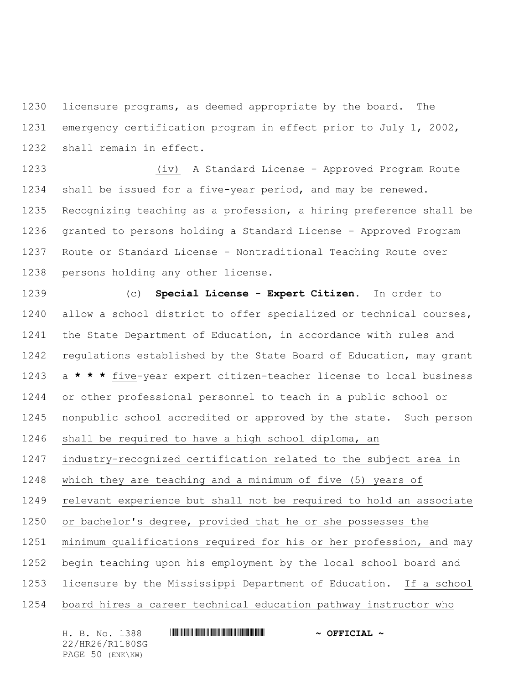licensure programs, as deemed appropriate by the board. The emergency certification program in effect prior to July 1, 2002, shall remain in effect.

 (iv) A Standard License - Approved Program Route shall be issued for a five-year period, and may be renewed. Recognizing teaching as a profession, a hiring preference shall be granted to persons holding a Standard License - Approved Program Route or Standard License - Nontraditional Teaching Route over persons holding any other license.

 (c) **Special License - Expert Citizen**. In order to allow a school district to offer specialized or technical courses, the State Department of Education, in accordance with rules and regulations established by the State Board of Education, may grant a **\* \* \*** five-year expert citizen-teacher license to local business or other professional personnel to teach in a public school or nonpublic school accredited or approved by the state. Such person shall be required to have a high school diploma, an

industry-recognized certification related to the subject area in

which they are teaching and a minimum of five (5) years of

relevant experience but shall not be required to hold an associate

or bachelor's degree, provided that he or she possesses the

minimum qualifications required for his or her profession, and may

begin teaching upon his employment by the local school board and

licensure by the Mississippi Department of Education. If a school

board hires a career technical education pathway instructor who

H. B. No. 1388 \*HR26/R1180SG\* **~ OFFICIAL ~** 22/HR26/R1180SG PAGE 50 (ENK\KW)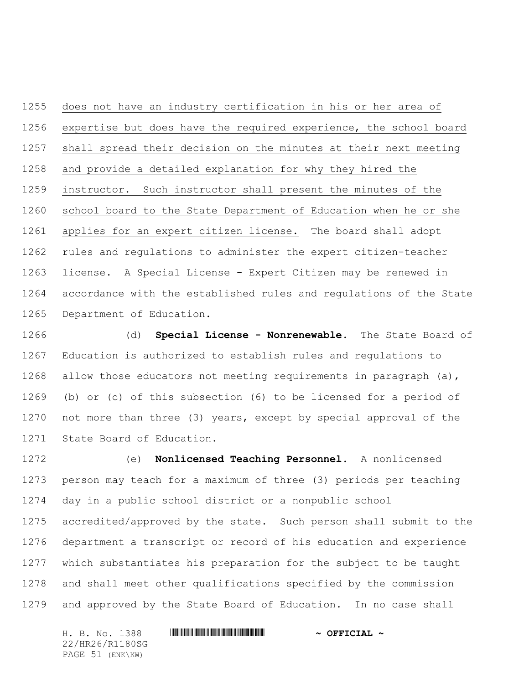does not have an industry certification in his or her area of expertise but does have the required experience, the school board shall spread their decision on the minutes at their next meeting and provide a detailed explanation for why they hired the instructor. Such instructor shall present the minutes of the school board to the State Department of Education when he or she applies for an expert citizen license. The board shall adopt rules and regulations to administer the expert citizen-teacher license. A Special License - Expert Citizen may be renewed in accordance with the established rules and regulations of the State Department of Education.

 (d) **Special License - Nonrenewable.** The State Board of Education is authorized to establish rules and regulations to 1268 allow those educators not meeting requirements in paragraph (a), (b) or (c) of this subsection (6) to be licensed for a period of not more than three (3) years, except by special approval of the State Board of Education.

 (e) **Nonlicensed Teaching Personnel.** A nonlicensed person may teach for a maximum of three (3) periods per teaching day in a public school district or a nonpublic school accredited/approved by the state. Such person shall submit to the department a transcript or record of his education and experience which substantiates his preparation for the subject to be taught and shall meet other qualifications specified by the commission and approved by the State Board of Education. In no case shall

H. B. No. 1388 \*HR26/R1180SG\* **~ OFFICIAL ~** 22/HR26/R1180SG PAGE 51 (ENK\KW)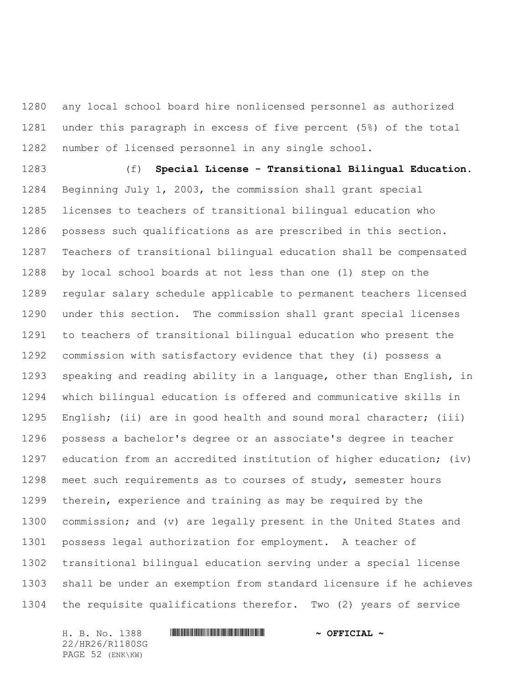any local school board hire nonlicensed personnel as authorized under this paragraph in excess of five percent (5%) of the total number of licensed personnel in any single school.

 (f) **Special License - Transitional Bilingual Education.** Beginning July 1, 2003, the commission shall grant special licenses to teachers of transitional bilingual education who possess such qualifications as are prescribed in this section. Teachers of transitional bilingual education shall be compensated by local school boards at not less than one (1) step on the regular salary schedule applicable to permanent teachers licensed under this section. The commission shall grant special licenses to teachers of transitional bilingual education who present the commission with satisfactory evidence that they (i) possess a speaking and reading ability in a language, other than English, in which bilingual education is offered and communicative skills in English; (ii) are in good health and sound moral character; (iii) possess a bachelor's degree or an associate's degree in teacher education from an accredited institution of higher education; (iv) meet such requirements as to courses of study, semester hours therein, experience and training as may be required by the commission; and (v) are legally present in the United States and possess legal authorization for employment. A teacher of transitional bilingual education serving under a special license shall be under an exemption from standard licensure if he achieves the requisite qualifications therefor. Two (2) years of service

H. B. No. 1388 \*HR26/R1180SG\* **~ OFFICIAL ~** 22/HR26/R1180SG PAGE 52 (ENK\KW)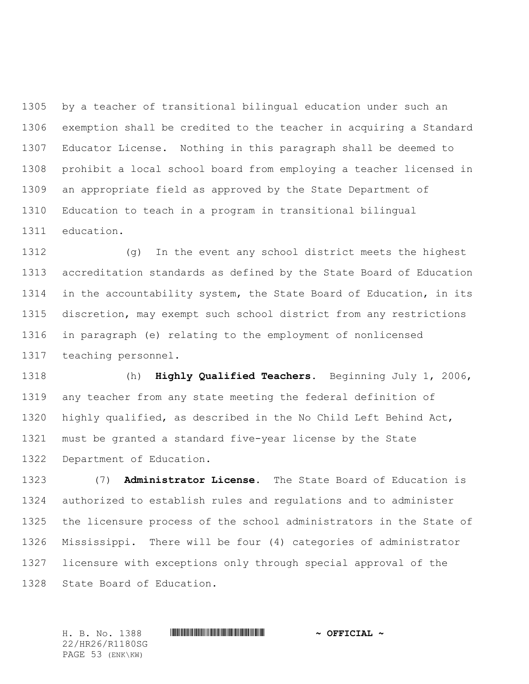by a teacher of transitional bilingual education under such an exemption shall be credited to the teacher in acquiring a Standard Educator License. Nothing in this paragraph shall be deemed to prohibit a local school board from employing a teacher licensed in an appropriate field as approved by the State Department of Education to teach in a program in transitional bilingual education.

 (g) In the event any school district meets the highest accreditation standards as defined by the State Board of Education in the accountability system, the State Board of Education, in its discretion, may exempt such school district from any restrictions in paragraph (e) relating to the employment of nonlicensed teaching personnel.

 (h) **Highly Qualified Teachers.** Beginning July 1, 2006, any teacher from any state meeting the federal definition of highly qualified, as described in the No Child Left Behind Act, must be granted a standard five-year license by the State Department of Education.

 (7) **Administrator License.** The State Board of Education is authorized to establish rules and regulations and to administer the licensure process of the school administrators in the State of Mississippi. There will be four (4) categories of administrator licensure with exceptions only through special approval of the State Board of Education.

H. B. No. 1388 \*HR26/R1180SG\* **~ OFFICIAL ~** 22/HR26/R1180SG PAGE 53 (ENK\KW)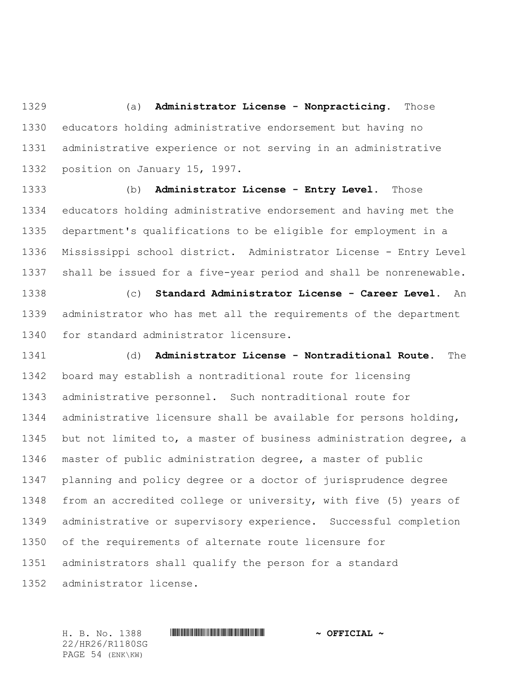(a) **Administrator License - Nonpracticing.** Those educators holding administrative endorsement but having no administrative experience or not serving in an administrative position on January 15, 1997.

 (b) **Administrator License - Entry Level.** Those educators holding administrative endorsement and having met the department's qualifications to be eligible for employment in a Mississippi school district. Administrator License - Entry Level shall be issued for a five-year period and shall be nonrenewable.

 (c) **Standard Administrator License - Career Level.** An administrator who has met all the requirements of the department for standard administrator licensure.

 (d) **Administrator License - Nontraditional Route.** The board may establish a nontraditional route for licensing administrative personnel. Such nontraditional route for administrative licensure shall be available for persons holding, but not limited to, a master of business administration degree, a master of public administration degree, a master of public planning and policy degree or a doctor of jurisprudence degree from an accredited college or university, with five (5) years of administrative or supervisory experience. Successful completion of the requirements of alternate route licensure for administrators shall qualify the person for a standard administrator license.

H. B. No. 1388 \*HR26/R1180SG\* **~ OFFICIAL ~** 22/HR26/R1180SG PAGE 54 (ENK\KW)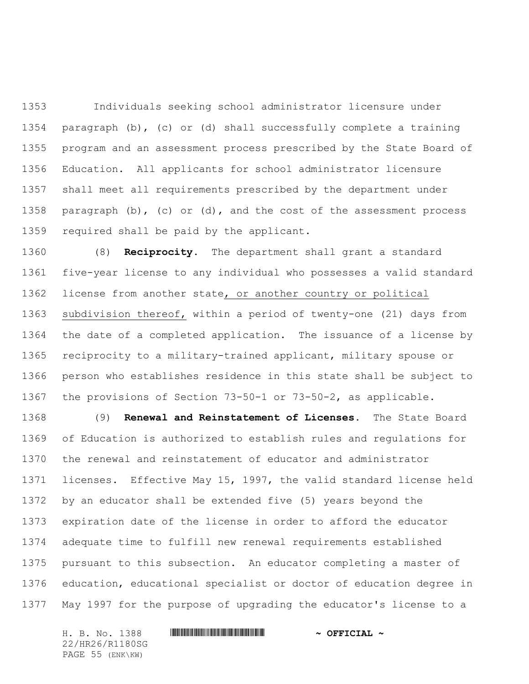Individuals seeking school administrator licensure under paragraph (b), (c) or (d) shall successfully complete a training program and an assessment process prescribed by the State Board of Education. All applicants for school administrator licensure shall meet all requirements prescribed by the department under paragraph (b), (c) or (d), and the cost of the assessment process required shall be paid by the applicant.

 (8) **Reciprocity.** The department shall grant a standard five-year license to any individual who possesses a valid standard license from another state, or another country or political subdivision thereof, within a period of twenty-one (21) days from the date of a completed application. The issuance of a license by reciprocity to a military-trained applicant, military spouse or person who establishes residence in this state shall be subject to the provisions of Section 73-50-1 or 73-50-2, as applicable.

 (9) **Renewal and Reinstatement of Licenses.** The State Board of Education is authorized to establish rules and regulations for the renewal and reinstatement of educator and administrator licenses. Effective May 15, 1997, the valid standard license held by an educator shall be extended five (5) years beyond the expiration date of the license in order to afford the educator adequate time to fulfill new renewal requirements established pursuant to this subsection. An educator completing a master of education, educational specialist or doctor of education degree in May 1997 for the purpose of upgrading the educator's license to a

H. B. No. 1388 \*HR26/R1180SG\* **~ OFFICIAL ~** 22/HR26/R1180SG PAGE 55 (ENK\KW)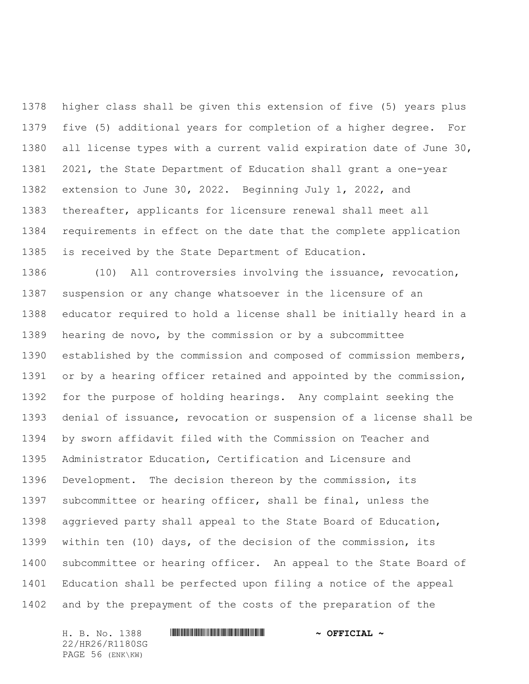higher class shall be given this extension of five (5) years plus five (5) additional years for completion of a higher degree. For all license types with a current valid expiration date of June 30, 2021, the State Department of Education shall grant a one-year extension to June 30, 2022. Beginning July 1, 2022, and thereafter, applicants for licensure renewal shall meet all requirements in effect on the date that the complete application is received by the State Department of Education.

 (10) All controversies involving the issuance, revocation, suspension or any change whatsoever in the licensure of an educator required to hold a license shall be initially heard in a hearing de novo, by the commission or by a subcommittee established by the commission and composed of commission members, or by a hearing officer retained and appointed by the commission, for the purpose of holding hearings. Any complaint seeking the denial of issuance, revocation or suspension of a license shall be by sworn affidavit filed with the Commission on Teacher and Administrator Education, Certification and Licensure and Development. The decision thereon by the commission, its subcommittee or hearing officer, shall be final, unless the aggrieved party shall appeal to the State Board of Education, within ten (10) days, of the decision of the commission, its subcommittee or hearing officer. An appeal to the State Board of Education shall be perfected upon filing a notice of the appeal and by the prepayment of the costs of the preparation of the

22/HR26/R1180SG PAGE 56 (ENK\KW)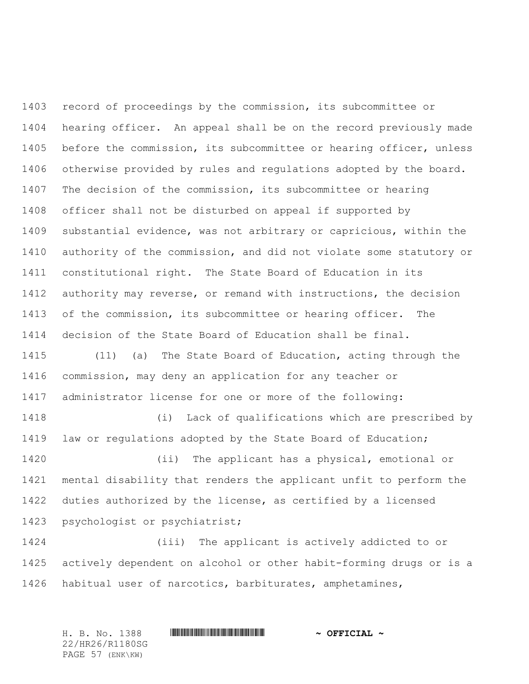record of proceedings by the commission, its subcommittee or hearing officer. An appeal shall be on the record previously made before the commission, its subcommittee or hearing officer, unless otherwise provided by rules and regulations adopted by the board. The decision of the commission, its subcommittee or hearing officer shall not be disturbed on appeal if supported by substantial evidence, was not arbitrary or capricious, within the authority of the commission, and did not violate some statutory or constitutional right. The State Board of Education in its authority may reverse, or remand with instructions, the decision of the commission, its subcommittee or hearing officer. The decision of the State Board of Education shall be final. (11) (a) The State Board of Education, acting through the commission, may deny an application for any teacher or administrator license for one or more of the following: (i) Lack of qualifications which are prescribed by law or regulations adopted by the State Board of Education; (ii) The applicant has a physical, emotional or mental disability that renders the applicant unfit to perform the duties authorized by the license, as certified by a licensed psychologist or psychiatrist; (iii) The applicant is actively addicted to or actively dependent on alcohol or other habit-forming drugs or is a

habitual user of narcotics, barbiturates, amphetamines,

H. B. No. 1388 \*HR26/R1180SG\* **~ OFFICIAL ~**

22/HR26/R1180SG PAGE 57 (ENK\KW)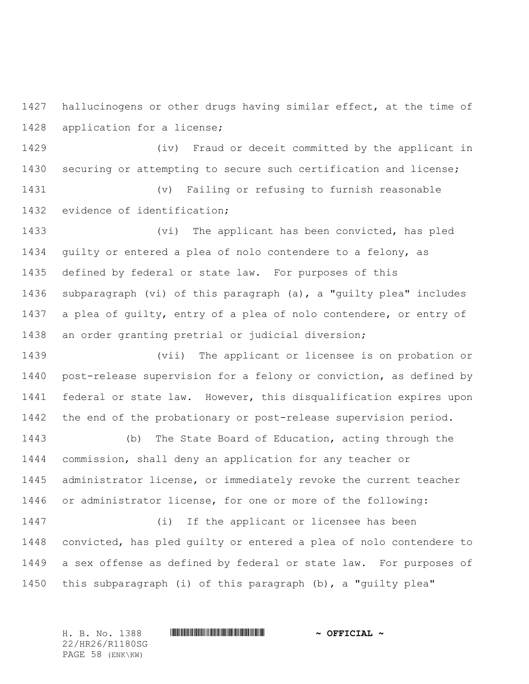hallucinogens or other drugs having similar effect, at the time of application for a license;

 (iv) Fraud or deceit committed by the applicant in securing or attempting to secure such certification and license;

 (v) Failing or refusing to furnish reasonable evidence of identification;

 (vi) The applicant has been convicted, has pled guilty or entered a plea of nolo contendere to a felony, as defined by federal or state law. For purposes of this subparagraph (vi) of this paragraph (a), a "guilty plea" includes a plea of guilty, entry of a plea of nolo contendere, or entry of an order granting pretrial or judicial diversion;

 (vii) The applicant or licensee is on probation or post-release supervision for a felony or conviction, as defined by federal or state law. However, this disqualification expires upon the end of the probationary or post-release supervision period.

 (b) The State Board of Education, acting through the commission, shall deny an application for any teacher or administrator license, or immediately revoke the current teacher or administrator license, for one or more of the following:

 (i) If the applicant or licensee has been convicted, has pled guilty or entered a plea of nolo contendere to a sex offense as defined by federal or state law. For purposes of this subparagraph (i) of this paragraph (b), a "guilty plea"

22/HR26/R1180SG PAGE 58 (ENK\KW)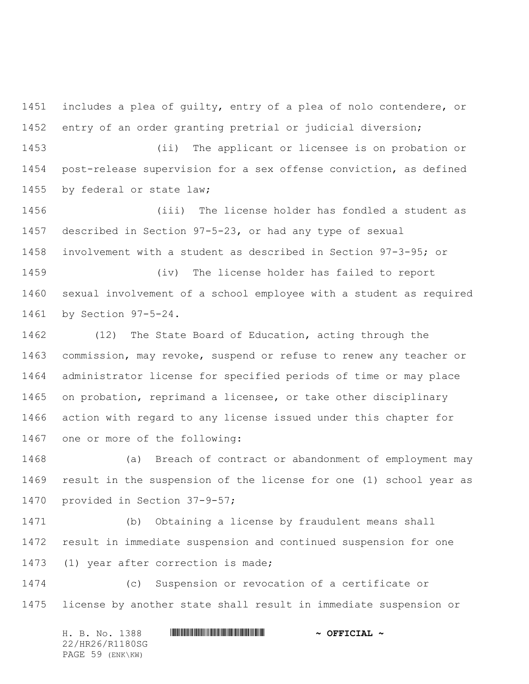includes a plea of guilty, entry of a plea of nolo contendere, or entry of an order granting pretrial or judicial diversion;

 (ii) The applicant or licensee is on probation or post-release supervision for a sex offense conviction, as defined by federal or state law;

 (iii) The license holder has fondled a student as described in Section 97-5-23, or had any type of sexual involvement with a student as described in Section 97-3-95; or

 (iv) The license holder has failed to report sexual involvement of a school employee with a student as required by Section 97-5-24.

 (12) The State Board of Education, acting through the commission, may revoke, suspend or refuse to renew any teacher or administrator license for specified periods of time or may place on probation, reprimand a licensee, or take other disciplinary action with regard to any license issued under this chapter for one or more of the following:

 (a) Breach of contract or abandonment of employment may result in the suspension of the license for one (1) school year as provided in Section 37-9-57;

 (b) Obtaining a license by fraudulent means shall result in immediate suspension and continued suspension for one (1) year after correction is made;

 (c) Suspension or revocation of a certificate or license by another state shall result in immediate suspension or

H. B. No. 1388 \*HR26/R1180SG\* **~ OFFICIAL ~** 22/HR26/R1180SG PAGE 59 (ENK\KW)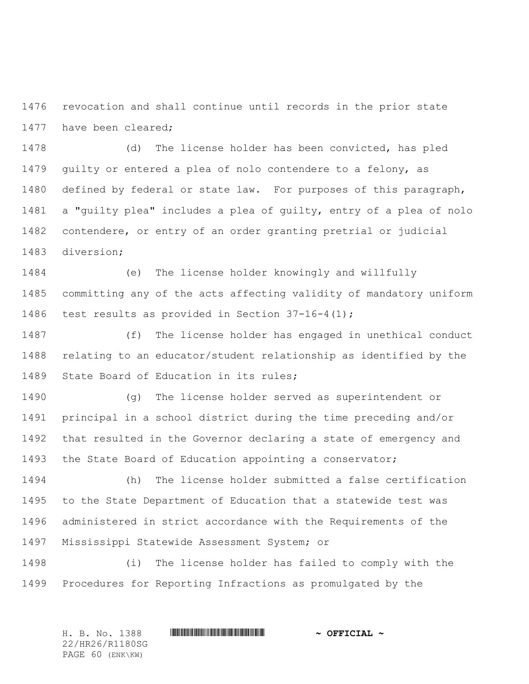revocation and shall continue until records in the prior state have been cleared;

 (d) The license holder has been convicted, has pled guilty or entered a plea of nolo contendere to a felony, as defined by federal or state law. For purposes of this paragraph, a "guilty plea" includes a plea of guilty, entry of a plea of nolo contendere, or entry of an order granting pretrial or judicial diversion;

 (e) The license holder knowingly and willfully committing any of the acts affecting validity of mandatory uniform 1486 test results as provided in Section  $37-16-4(1)$ ;

 (f) The license holder has engaged in unethical conduct relating to an educator/student relationship as identified by the State Board of Education in its rules;

 (g) The license holder served as superintendent or principal in a school district during the time preceding and/or that resulted in the Governor declaring a state of emergency and the State Board of Education appointing a conservator;

 (h) The license holder submitted a false certification to the State Department of Education that a statewide test was administered in strict accordance with the Requirements of the Mississippi Statewide Assessment System; or

 (i) The license holder has failed to comply with the Procedures for Reporting Infractions as promulgated by the

H. B. No. 1388 \*HR26/R1180SG\* **~ OFFICIAL ~** 22/HR26/R1180SG PAGE 60 (ENK\KW)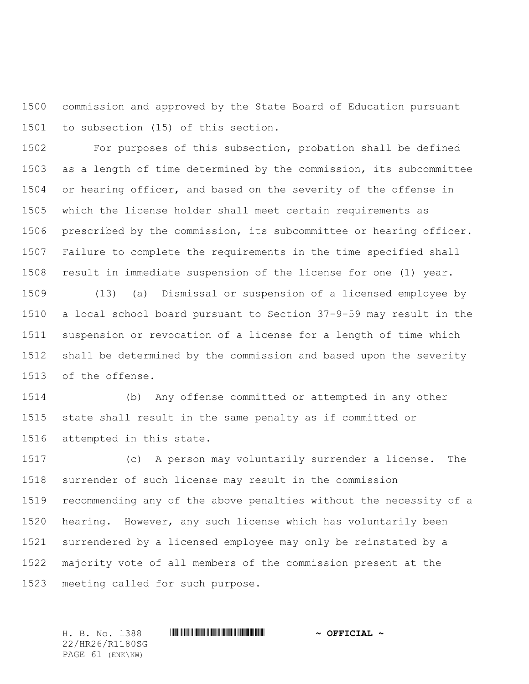commission and approved by the State Board of Education pursuant to subsection (15) of this section.

 For purposes of this subsection, probation shall be defined as a length of time determined by the commission, its subcommittee 1504 or hearing officer, and based on the severity of the offense in which the license holder shall meet certain requirements as prescribed by the commission, its subcommittee or hearing officer. Failure to complete the requirements in the time specified shall result in immediate suspension of the license for one (1) year.

 (13) (a) Dismissal or suspension of a licensed employee by a local school board pursuant to Section 37-9-59 may result in the suspension or revocation of a license for a length of time which shall be determined by the commission and based upon the severity of the offense.

 (b) Any offense committed or attempted in any other state shall result in the same penalty as if committed or attempted in this state.

 (c) A person may voluntarily surrender a license. The surrender of such license may result in the commission recommending any of the above penalties without the necessity of a hearing. However, any such license which has voluntarily been surrendered by a licensed employee may only be reinstated by a majority vote of all members of the commission present at the meeting called for such purpose.

22/HR26/R1180SG PAGE 61 (ENK\KW)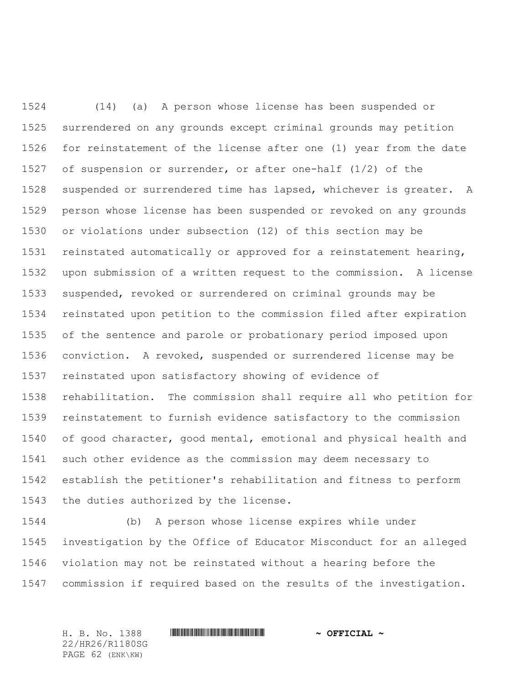(14) (a) A person whose license has been suspended or surrendered on any grounds except criminal grounds may petition for reinstatement of the license after one (1) year from the date of suspension or surrender, or after one-half (1/2) of the suspended or surrendered time has lapsed, whichever is greater. A person whose license has been suspended or revoked on any grounds or violations under subsection (12) of this section may be reinstated automatically or approved for a reinstatement hearing, upon submission of a written request to the commission. A license suspended, revoked or surrendered on criminal grounds may be reinstated upon petition to the commission filed after expiration of the sentence and parole or probationary period imposed upon conviction. A revoked, suspended or surrendered license may be reinstated upon satisfactory showing of evidence of rehabilitation. The commission shall require all who petition for reinstatement to furnish evidence satisfactory to the commission of good character, good mental, emotional and physical health and such other evidence as the commission may deem necessary to establish the petitioner's rehabilitation and fitness to perform the duties authorized by the license.

 (b) A person whose license expires while under investigation by the Office of Educator Misconduct for an alleged violation may not be reinstated without a hearing before the commission if required based on the results of the investigation.

22/HR26/R1180SG PAGE 62 (ENK\KW)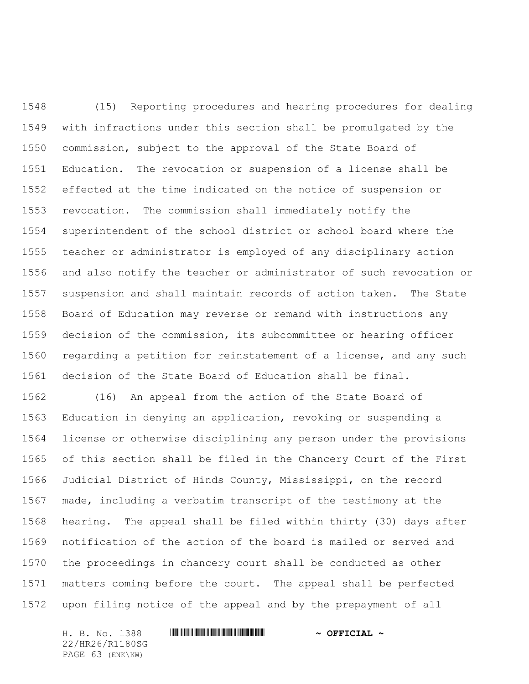(15) Reporting procedures and hearing procedures for dealing with infractions under this section shall be promulgated by the commission, subject to the approval of the State Board of Education. The revocation or suspension of a license shall be effected at the time indicated on the notice of suspension or revocation. The commission shall immediately notify the superintendent of the school district or school board where the teacher or administrator is employed of any disciplinary action and also notify the teacher or administrator of such revocation or suspension and shall maintain records of action taken. The State Board of Education may reverse or remand with instructions any decision of the commission, its subcommittee or hearing officer regarding a petition for reinstatement of a license, and any such decision of the State Board of Education shall be final.

 (16) An appeal from the action of the State Board of Education in denying an application, revoking or suspending a license or otherwise disciplining any person under the provisions of this section shall be filed in the Chancery Court of the First Judicial District of Hinds County, Mississippi, on the record made, including a verbatim transcript of the testimony at the hearing. The appeal shall be filed within thirty (30) days after notification of the action of the board is mailed or served and the proceedings in chancery court shall be conducted as other matters coming before the court. The appeal shall be perfected upon filing notice of the appeal and by the prepayment of all

H. B. No. 1388 \*HR26/R1180SG\* **~ OFFICIAL ~** 22/HR26/R1180SG PAGE 63 (ENK\KW)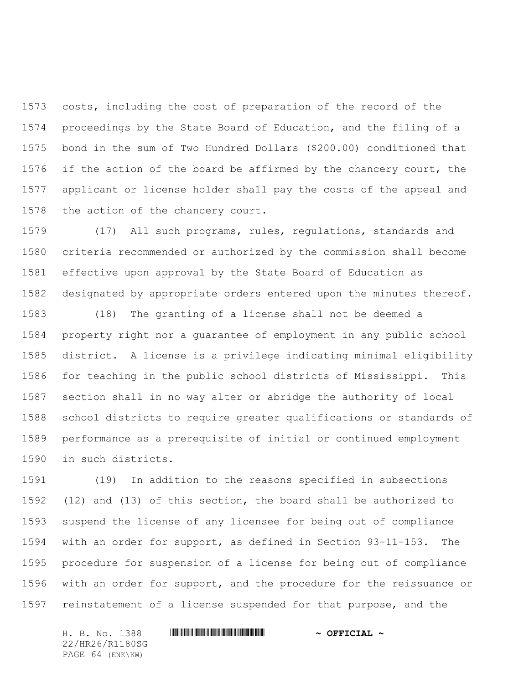costs, including the cost of preparation of the record of the proceedings by the State Board of Education, and the filing of a bond in the sum of Two Hundred Dollars (\$200.00) conditioned that 1576 if the action of the board be affirmed by the chancery court, the applicant or license holder shall pay the costs of the appeal and the action of the chancery court.

 (17) All such programs, rules, regulations, standards and criteria recommended or authorized by the commission shall become effective upon approval by the State Board of Education as designated by appropriate orders entered upon the minutes thereof.

 (18) The granting of a license shall not be deemed a property right nor a guarantee of employment in any public school district. A license is a privilege indicating minimal eligibility for teaching in the public school districts of Mississippi. This section shall in no way alter or abridge the authority of local school districts to require greater qualifications or standards of performance as a prerequisite of initial or continued employment in such districts.

 (19) In addition to the reasons specified in subsections (12) and (13) of this section, the board shall be authorized to suspend the license of any licensee for being out of compliance with an order for support, as defined in Section 93-11-153. The procedure for suspension of a license for being out of compliance with an order for support, and the procedure for the reissuance or reinstatement of a license suspended for that purpose, and the

22/HR26/R1180SG PAGE 64 (ENK\KW)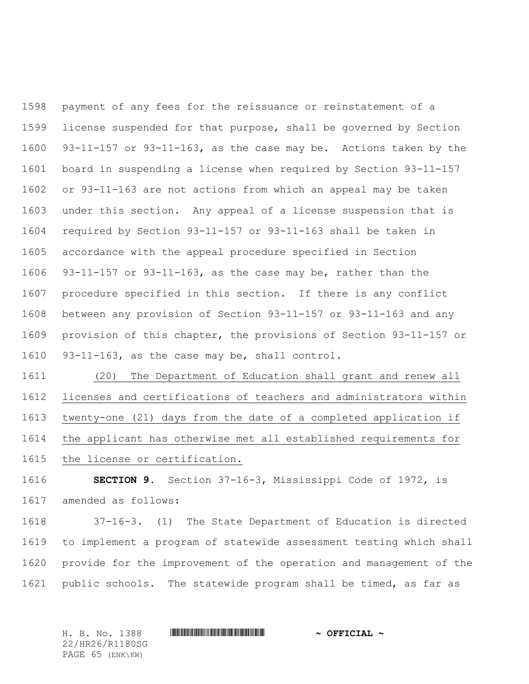payment of any fees for the reissuance or reinstatement of a license suspended for that purpose, shall be governed by Section 93-11-157 or 93-11-163, as the case may be. Actions taken by the board in suspending a license when required by Section 93-11-157 or 93-11-163 are not actions from which an appeal may be taken under this section. Any appeal of a license suspension that is required by Section 93-11-157 or 93-11-163 shall be taken in accordance with the appeal procedure specified in Section 93-11-157 or 93-11-163, as the case may be, rather than the procedure specified in this section. If there is any conflict between any provision of Section 93-11-157 or 93-11-163 and any provision of this chapter, the provisions of Section 93-11-157 or 93-11-163, as the case may be, shall control.

 (20) The Department of Education shall grant and renew all licenses and certifications of teachers and administrators within twenty-one (21) days from the date of a completed application if the applicant has otherwise met all established requirements for the license or certification.

 **SECTION 9.** Section 37-16-3, Mississippi Code of 1972, is amended as follows:

 37-16-3. (1) The State Department of Education is directed to implement a program of statewide assessment testing which shall provide for the improvement of the operation and management of the public schools. The statewide program shall be timed, as far as

H. B. No. 1388 \*HR26/R1180SG\* **~ OFFICIAL ~** 22/HR26/R1180SG PAGE 65 (ENK\KW)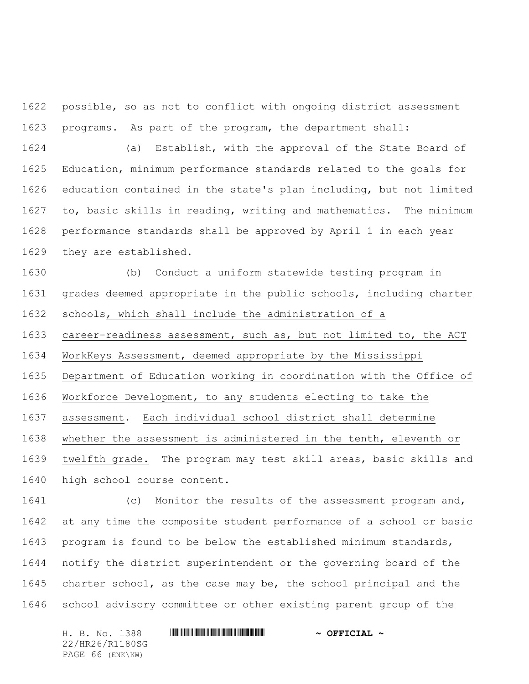possible, so as not to conflict with ongoing district assessment programs. As part of the program, the department shall:

 (a) Establish, with the approval of the State Board of Education, minimum performance standards related to the goals for education contained in the state's plan including, but not limited to, basic skills in reading, writing and mathematics. The minimum performance standards shall be approved by April 1 in each year they are established.

 (b) Conduct a uniform statewide testing program in grades deemed appropriate in the public schools, including charter schools, which shall include the administration of a

career-readiness assessment, such as, but not limited to, the ACT

WorkKeys Assessment, deemed appropriate by the Mississippi

Department of Education working in coordination with the Office of

Workforce Development, to any students electing to take the

assessment. Each individual school district shall determine

whether the assessment is administered in the tenth, eleventh or

 twelfth grade. The program may test skill areas, basic skills and high school course content.

 (c) Monitor the results of the assessment program and, at any time the composite student performance of a school or basic program is found to be below the established minimum standards, notify the district superintendent or the governing board of the charter school, as the case may be, the school principal and the school advisory committee or other existing parent group of the

22/HR26/R1180SG PAGE 66 (ENK\KW)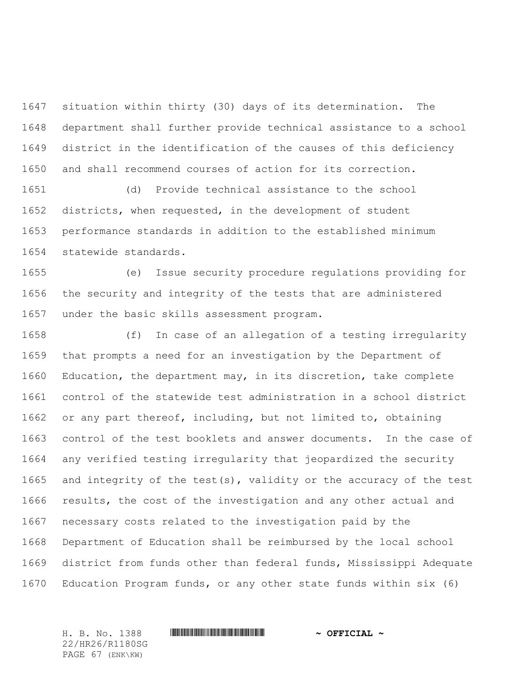situation within thirty (30) days of its determination. The department shall further provide technical assistance to a school district in the identification of the causes of this deficiency and shall recommend courses of action for its correction.

 (d) Provide technical assistance to the school districts, when requested, in the development of student performance standards in addition to the established minimum statewide standards.

 (e) Issue security procedure regulations providing for the security and integrity of the tests that are administered under the basic skills assessment program.

 (f) In case of an allegation of a testing irregularity that prompts a need for an investigation by the Department of Education, the department may, in its discretion, take complete control of the statewide test administration in a school district or any part thereof, including, but not limited to, obtaining control of the test booklets and answer documents. In the case of any verified testing irregularity that jeopardized the security and integrity of the test(s), validity or the accuracy of the test results, the cost of the investigation and any other actual and necessary costs related to the investigation paid by the Department of Education shall be reimbursed by the local school district from funds other than federal funds, Mississippi Adequate Education Program funds, or any other state funds within six (6)

22/HR26/R1180SG PAGE 67 (ENK\KW)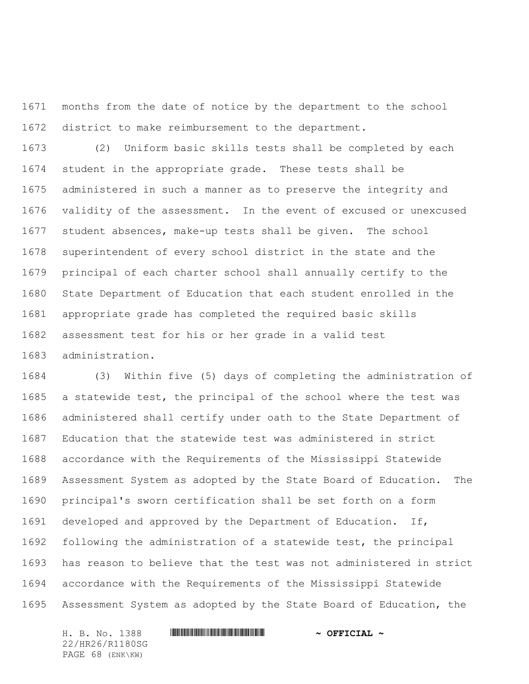months from the date of notice by the department to the school district to make reimbursement to the department.

 (2) Uniform basic skills tests shall be completed by each student in the appropriate grade. These tests shall be administered in such a manner as to preserve the integrity and validity of the assessment. In the event of excused or unexcused student absences, make-up tests shall be given. The school superintendent of every school district in the state and the principal of each charter school shall annually certify to the State Department of Education that each student enrolled in the appropriate grade has completed the required basic skills assessment test for his or her grade in a valid test administration.

 (3) Within five (5) days of completing the administration of a statewide test, the principal of the school where the test was administered shall certify under oath to the State Department of Education that the statewide test was administered in strict accordance with the Requirements of the Mississippi Statewide Assessment System as adopted by the State Board of Education. The principal's sworn certification shall be set forth on a form developed and approved by the Department of Education. If, following the administration of a statewide test, the principal has reason to believe that the test was not administered in strict accordance with the Requirements of the Mississippi Statewide Assessment System as adopted by the State Board of Education, the

H. B. No. 1388 \*HR26/R1180SG\* **~ OFFICIAL ~** 22/HR26/R1180SG PAGE 68 (ENK\KW)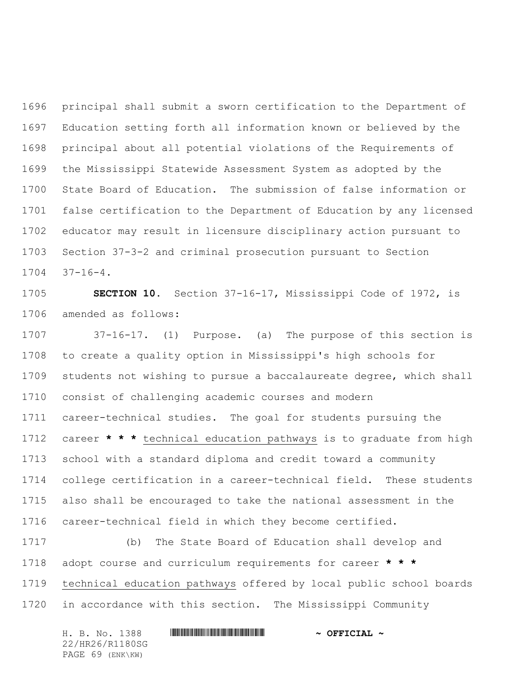principal shall submit a sworn certification to the Department of Education setting forth all information known or believed by the principal about all potential violations of the Requirements of the Mississippi Statewide Assessment System as adopted by the State Board of Education. The submission of false information or false certification to the Department of Education by any licensed educator may result in licensure disciplinary action pursuant to Section 37-3-2 and criminal prosecution pursuant to Section 37-16-4.

 **SECTION 10.** Section 37-16-17, Mississippi Code of 1972, is amended as follows:

 37-16-17. (1) Purpose. (a) The purpose of this section is to create a quality option in Mississippi's high schools for students not wishing to pursue a baccalaureate degree, which shall consist of challenging academic courses and modern career-technical studies. The goal for students pursuing the career **\* \* \*** technical education pathways is to graduate from high school with a standard diploma and credit toward a community college certification in a career-technical field. These students also shall be encouraged to take the national assessment in the career-technical field in which they become certified.

 (b) The State Board of Education shall develop and adopt course and curriculum requirements for career **\* \* \*** technical education pathways offered by local public school boards in accordance with this section. The Mississippi Community

H. B. No. 1388 \*HR26/R1180SG\* **~ OFFICIAL ~** 22/HR26/R1180SG PAGE 69 (ENK\KW)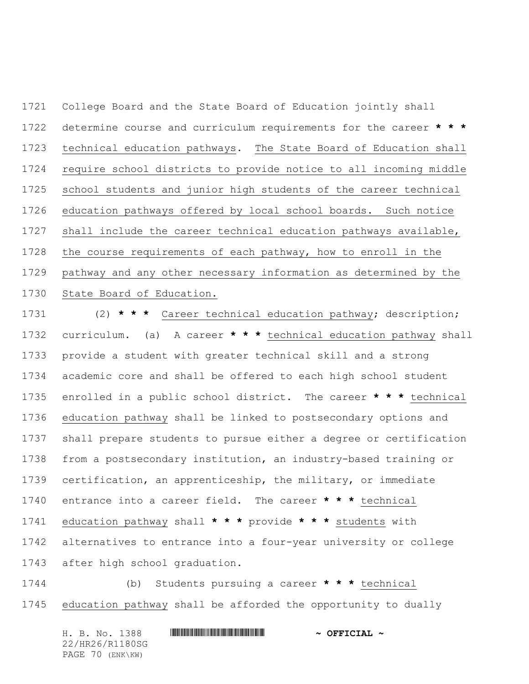College Board and the State Board of Education jointly shall determine course and curriculum requirements for the career **\* \* \*** technical education pathways. The State Board of Education shall require school districts to provide notice to all incoming middle school students and junior high students of the career technical education pathways offered by local school boards. Such notice shall include the career technical education pathways available, the course requirements of each pathway, how to enroll in the pathway and any other necessary information as determined by the State Board of Education.

 (2) **\* \* \*** Career technical education pathway; description; curriculum. (a) A career **\* \* \*** technical education pathway shall provide a student with greater technical skill and a strong academic core and shall be offered to each high school student enrolled in a public school district. The career **\* \* \*** technical education pathway shall be linked to postsecondary options and shall prepare students to pursue either a degree or certification from a postsecondary institution, an industry-based training or certification, an apprenticeship, the military, or immediate entrance into a career field. The career **\* \* \*** technical education pathway shall **\* \* \*** provide **\* \* \*** students with alternatives to entrance into a four-year university or college after high school graduation.

 (b) Students pursuing a career **\* \* \*** technical education pathway shall be afforded the opportunity to dually

H. B. No. 1388 \*HR26/R1180SG\* **~ OFFICIAL ~** 22/HR26/R1180SG PAGE 70 (ENK\KW)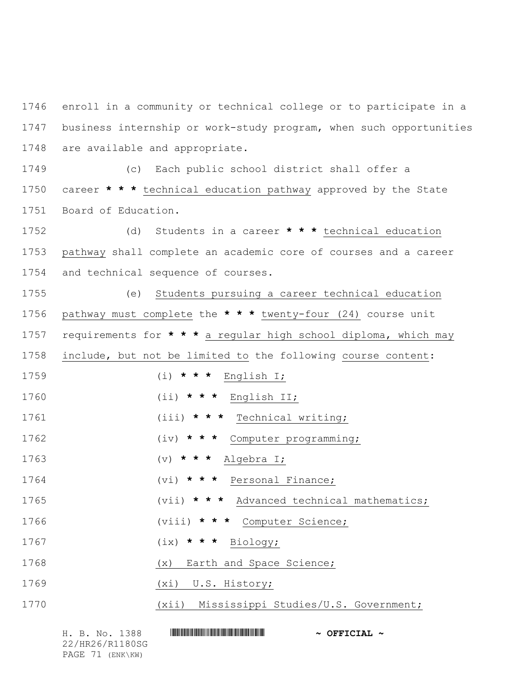enroll in a community or technical college or to participate in a business internship or work-study program, when such opportunities are available and appropriate.

 (c) Each public school district shall offer a career **\* \* \*** technical education pathway approved by the State Board of Education.

 (d) Students in a career **\* \* \*** technical education pathway shall complete an academic core of courses and a career and technical sequence of courses.

 (e) Students pursuing a career technical education pathway must complete the **\* \* \*** twenty-four (24) course unit requirements for **\* \* \*** a regular high school diploma, which may include, but not be limited to the following course content: (i) **\* \* \*** English I; (ii) **\* \* \*** English II; (iii) **\* \* \*** Technical writing; (iv) **\* \* \*** Computer programming;

(v) **\* \* \*** Algebra I;

(vi) **\* \* \*** Personal Finance;

(vii) **\* \* \*** Advanced technical mathematics;

(viii) **\* \* \*** Computer Science;

(ix) **\* \* \*** Biology;

(x) Earth and Space Science;

(xi) U.S. History;

(xii) Mississippi Studies/U.S. Government;

H. B. No. 1388 **HIRNA-RANDA ENGINEERING IN SECTION AND A OFFICIAL ~** 22/HR26/R1180SG PAGE 71 (ENK\KW)